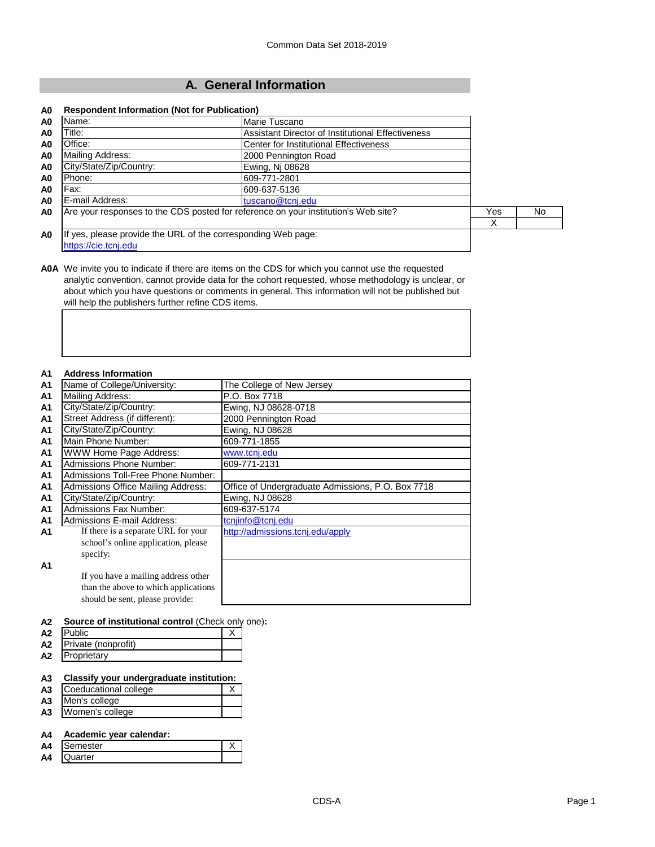# **A. General Information**

#### **A0 Respondent Information (Not for Publication)**

| A0             | Name:                                                                              | Marie Tuscano                                     |     |     |
|----------------|------------------------------------------------------------------------------------|---------------------------------------------------|-----|-----|
| A <sub>0</sub> | Title:                                                                             | Assistant Director of Institutional Effectiveness |     |     |
| A <sub>0</sub> | Office:                                                                            | <b>Center for Institutional Effectiveness</b>     |     |     |
| A <sub>0</sub> | Mailing Address:                                                                   | 2000 Pennington Road                              |     |     |
| A0             | City/State/Zip/Country:                                                            | Ewing, Nj 08628                                   |     |     |
| A <sub>0</sub> | Phone:                                                                             | 609-771-2801                                      |     |     |
| A <sub>0</sub> | Fax:                                                                               | 609-637-5136                                      |     |     |
| A <sub>0</sub> | E-mail Address:                                                                    | tuscano@tcnj.edu                                  |     |     |
| A <sub>0</sub> | Are your responses to the CDS posted for reference on your institution's Web site? |                                                   | Yes | No. |
|                |                                                                                    |                                                   |     |     |
| A <sub>0</sub> | If yes, please provide the URL of the corresponding Web page:                      |                                                   |     |     |
|                | https://cie.tcnj.edu                                                               |                                                   |     |     |

**A0A** We invite you to indicate if there are items on the CDS for which you cannot use the requested analytic convention, cannot provide data for the cohort requested, whose methodology is unclear, or about which you have questions or comments in general. This information will not be published but will help the publishers further refine CDS items.

#### **A1 Address Information**

| A <sub>1</sub> | Name of College/University:          | The College of New Jersey                         |
|----------------|--------------------------------------|---------------------------------------------------|
| A <sub>1</sub> | <b>Mailing Address:</b>              | P.O. Box 7718                                     |
| A <sub>1</sub> | City/State/Zip/Country:              | Ewing, NJ 08628-0718                              |
| A <sub>1</sub> | Street Address (if different):       | 2000 Pennington Road                              |
| A <sub>1</sub> | City/State/Zip/Country:              | Ewing, NJ 08628                                   |
| A <sub>1</sub> | Main Phone Number:                   | 609-771-1855                                      |
| <b>A1</b>      | <b>WWW Home Page Address:</b>        | www.tcnj.edu                                      |
| A <sub>1</sub> | <b>Admissions Phone Number:</b>      | 609-771-2131                                      |
| A <sub>1</sub> | Admissions Toll-Free Phone Number:   |                                                   |
| A <sub>1</sub> | Admissions Office Mailing Address:   | Office of Undergraduate Admissions, P.O. Box 7718 |
| A <sub>1</sub> | City/State/Zip/Country:              | Ewing, NJ 08628                                   |
| A <sub>1</sub> | <b>Admissions Fax Number:</b>        | 609-637-5174                                      |
| A <sub>1</sub> | Admissions E-mail Address:           | tcnjinfo@tcnj.edu                                 |
| A1             | If there is a separate URL for your  | http://admissions.tcnj.edu/apply                  |
|                | school's online application, please  |                                                   |
|                | specify:                             |                                                   |
| A <sub>1</sub> |                                      |                                                   |
|                | If you have a mailing address other  |                                                   |
|                | than the above to which applications |                                                   |
|                | should be sent, please provide:      |                                                   |

#### **A2 Source of institutional control** (Check only one)**:**

| A2 | <b>I</b> Public        |  |
|----|------------------------|--|
|    | A2 Private (nonprofit) |  |
| A2 | Proprietary            |  |

### **A3 Classify your undergraduate institution:**

| A <sub>3</sub> | Coeducational college |  |
|----------------|-----------------------|--|
|                | A3 Men's college      |  |
| A <sub>3</sub> | Women's college       |  |

#### **A4 Academic year calendar:**

| A4 | ≀mester |  |
|----|---------|--|
| A4 | uarter  |  |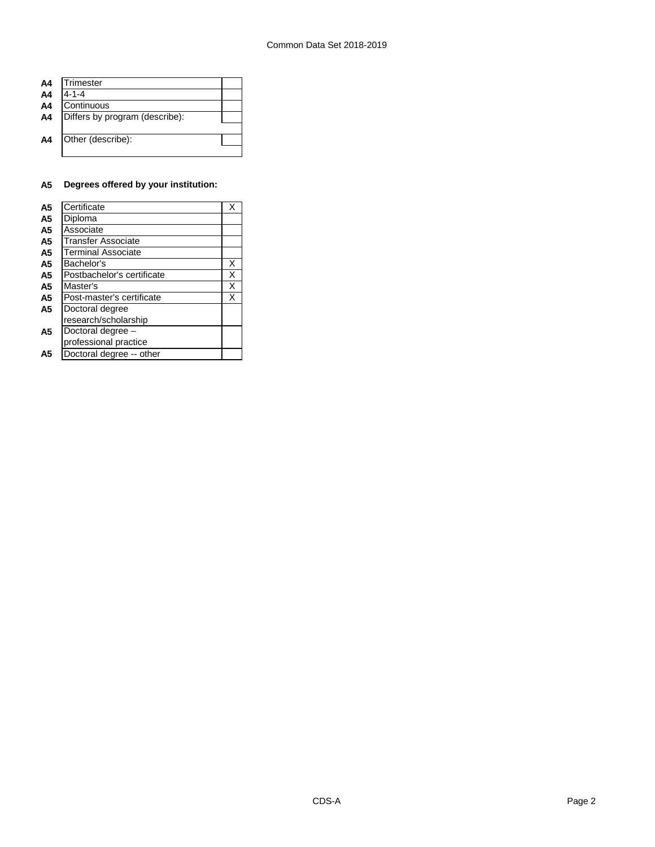| A4             | Trimester                      |  |
|----------------|--------------------------------|--|
| A <sub>4</sub> | $4 - 1 - 4$                    |  |
| A4             | Continuous                     |  |
| A4             | Differs by program (describe): |  |
|                |                                |  |
| A4             | Other (describe):              |  |
|                |                                |  |
|                |                                |  |

## **A5 Degrees offered by your institution:**

| A5             | Certificate                |   |
|----------------|----------------------------|---|
| A <sub>5</sub> | Diploma                    |   |
| A <sub>5</sub> | Associate                  |   |
| A <sub>5</sub> | Transfer Associate         |   |
| A <sub>5</sub> | <b>Terminal Associate</b>  |   |
| A <sub>5</sub> | Bachelor's                 | X |
| A5             | Postbachelor's certificate | Χ |
| A <sub>5</sub> | Master's                   | Χ |
| A <sub>5</sub> | Post-master's certificate  | х |
| A <sub>5</sub> | Doctoral degree            |   |
|                | research/scholarship       |   |
| A5             | Doctoral degree -          |   |
|                | professional practice      |   |
| А5             | Doctoral degree -- other   |   |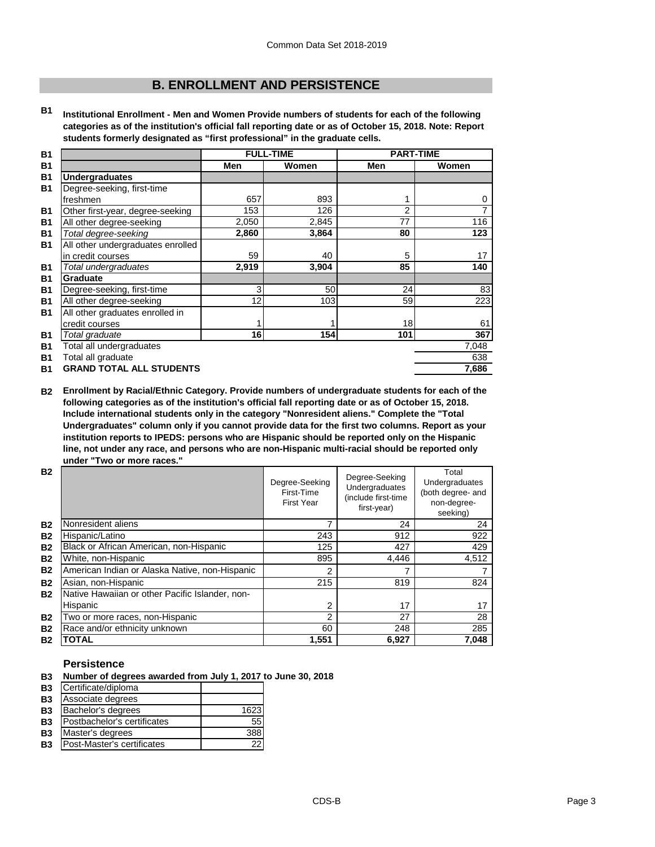# **B. ENROLLMENT AND PERSISTENCE**

**B1 Institutional Enrollment - Men and Women Provide numbers of students for each of the following categories as of the institution's official fall reporting date or as of October 15, 2018. Note: Report students formerly designated as "first professional" in the graduate cells.**

| <b>B1</b> |                                   | <b>FULL-TIME</b> |       | <b>PART-TIME</b> |       |
|-----------|-----------------------------------|------------------|-------|------------------|-------|
| <b>B1</b> |                                   | Men              | Women | Men              | Women |
| <b>B1</b> | <b>Undergraduates</b>             |                  |       |                  |       |
| <b>B1</b> | Degree-seeking, first-time        |                  |       |                  |       |
|           | freshmen                          | 657              | 893   |                  | 0     |
| <b>B1</b> | Other first-year, degree-seeking  | 153              | 126   | 2                | 7     |
| <b>B1</b> | All other degree-seeking          | 2,050            | 2,845 | 77               | 116   |
| <b>B1</b> | Total degree-seeking              | 2,860            | 3,864 | 80               | 123   |
| <b>B1</b> | All other undergraduates enrolled |                  |       |                  |       |
|           | in credit courses                 | 59               | 40    | 5                | 17    |
| <b>B1</b> | Total undergraduates              | 2,919            | 3,904 | 85               | 140   |
| <b>B1</b> | Graduate                          |                  |       |                  |       |
| <b>B1</b> | Degree-seeking, first-time        | 3                | 50    | 24               | 83    |
| <b>B1</b> | All other degree-seeking          | 12               | 103   | 59               | 223   |
| <b>B1</b> | All other graduates enrolled in   |                  |       |                  |       |
|           | credit courses                    |                  |       | 18               | 61    |
| <b>B1</b> | Total graduate                    | 16               | 154   | 101              | 367   |
| <b>B1</b> | Total all undergraduates          |                  |       |                  | 7,048 |
| <b>B1</b> | Total all graduate                |                  |       |                  | 638   |
| <b>B1</b> | <b>GRAND TOTAL ALL STUDENTS</b>   |                  |       |                  | 7,686 |

**B2 Enrollment by Racial/Ethnic Category. Provide numbers of undergraduate students for each of the following categories as of the institution's official fall reporting date or as of October 15, 2018. Include international students only in the category "Nonresident aliens." Complete the "Total Undergraduates" column only if you cannot provide data for the first two columns. Report as your institution reports to IPEDS: persons who are Hispanic should be reported only on the Hispanic line, not under any race, and persons who are non-Hispanic multi-racial should be reported only under "Two or more races."** 

| <b>B2</b> |                                                 | Degree-Seeking<br>First-Time<br><b>First Year</b> | Degree-Seeking<br>Undergraduates<br>(include first-time<br>first-year) | Total<br>Undergraduates<br>(both degree- and<br>non-degree-<br>seeking) |
|-----------|-------------------------------------------------|---------------------------------------------------|------------------------------------------------------------------------|-------------------------------------------------------------------------|
| <b>B2</b> | Nonresident aliens                              |                                                   | 24                                                                     | 24                                                                      |
| <b>B2</b> | Hispanic/Latino                                 | 243                                               | 912                                                                    | 922                                                                     |
| <b>B2</b> | Black or African American, non-Hispanic         | 125                                               | 427                                                                    | 429                                                                     |
| <b>B2</b> | White, non-Hispanic                             | 895                                               | 4,446                                                                  | 4,512                                                                   |
| <b>B2</b> | American Indian or Alaska Native, non-Hispanic  | 2                                                 |                                                                        |                                                                         |
| <b>B2</b> | Asian, non-Hispanic                             | 215                                               | 819                                                                    | 824                                                                     |
| <b>B2</b> | Native Hawaiian or other Pacific Islander, non- |                                                   |                                                                        |                                                                         |
|           | Hispanic                                        | 2                                                 | 17                                                                     | 17                                                                      |
| <b>B2</b> | Two or more races, non-Hispanic                 | 2                                                 | 27                                                                     | 28                                                                      |
| <b>B2</b> | Race and/or ethnicity unknown                   | 60                                                | 248                                                                    | 285                                                                     |
| <b>B2</b> | TOTAL                                           | 1,551                                             | 6,927                                                                  | 7,048                                                                   |

## **Persistence**

|  | B3 Number of degrees awarded from July 1, 2017 to June 30, 2018 |  |
|--|-----------------------------------------------------------------|--|
|--|-----------------------------------------------------------------|--|

| <b>B3</b> | Certificate/diploma         |      |
|-----------|-----------------------------|------|
| <b>B3</b> | Associate degrees           |      |
| <b>B3</b> | Bachelor's degrees          | 1623 |
| <b>B3</b> | Postbachelor's certificates | 55   |
| <b>B3</b> | Master's degrees            | 388  |
| <b>B3</b> | Post-Master's certificates  |      |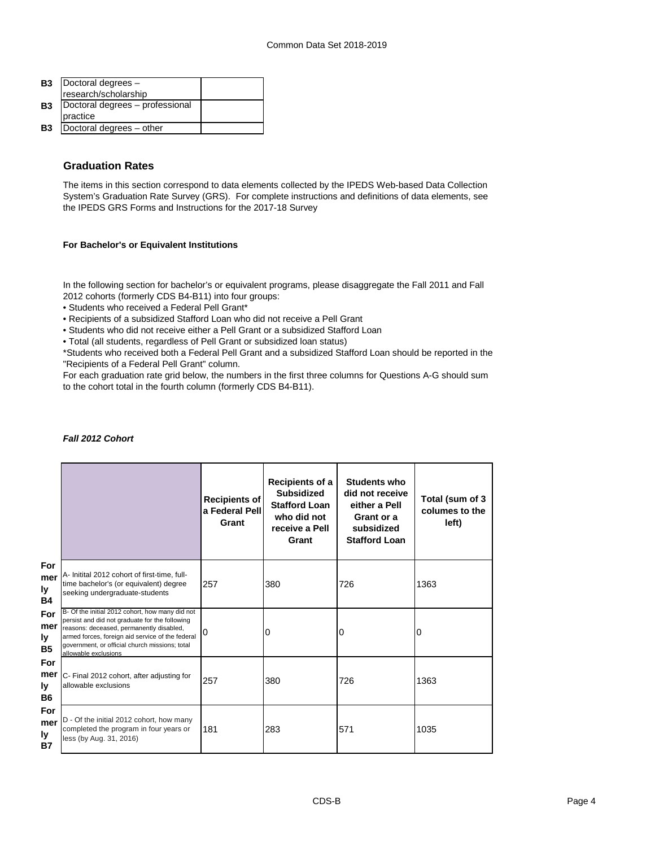| <b>B3</b> | Doctoral degrees -              |  |
|-----------|---------------------------------|--|
|           | research/scholarship            |  |
| <b>B3</b> | Doctoral degrees - professional |  |
|           | practice                        |  |
| <b>B3</b> | Doctoral degrees - other        |  |

## **Graduation Rates**

The items in this section correspond to data elements collected by the IPEDS Web-based Data Collection System's Graduation Rate Survey (GRS). For complete instructions and definitions of data elements, see the IPEDS GRS Forms and Instructions for the 2017-18 Survey

## **For Bachelor's or Equivalent Institutions**

In the following section for bachelor's or equivalent programs, please disaggregate the Fall 2011 and Fall 2012 cohorts (formerly CDS B4-B11) into four groups:

- Students who received a Federal Pell Grant\*
- Recipients of a subsidized Stafford Loan who did not receive a Pell Grant
- Students who did not receive either a Pell Grant or a subsidized Stafford Loan
- Total (all students, regardless of Pell Grant or subsidized loan status)

\*Students who received both a Federal Pell Grant and a subsidized Stafford Loan should be reported in the "Recipients of a Federal Pell Grant" column.

For each graduation rate grid below, the numbers in the first three columns for Questions A-G should sum to the cohort total in the fourth column (formerly CDS B4-B11).

## *Fall 2012 Cohort*

|                                      |                                                                                                                                                                                                                                                                             | <b>Recipients of</b><br>a Federal Pell<br>Grant | Recipients of a<br><b>Subsidized</b><br><b>Stafford Loan</b><br>who did not<br>receive a Pell<br>Grant | <b>Students who</b><br>did not receive<br>either a Pell<br>Grant or a<br>subsidized<br><b>Stafford Loan</b> | Total (sum of 3<br>columes to the<br>left) |
|--------------------------------------|-----------------------------------------------------------------------------------------------------------------------------------------------------------------------------------------------------------------------------------------------------------------------------|-------------------------------------------------|--------------------------------------------------------------------------------------------------------|-------------------------------------------------------------------------------------------------------------|--------------------------------------------|
| For<br>mer<br>ly.<br><b>B4</b>       | A- Initital 2012 cohort of first-time, full-<br>time bachelor's (or equivalent) degree<br>seeking undergraduate-students                                                                                                                                                    | 257                                             | 380                                                                                                    | 726                                                                                                         | 1363                                       |
| For<br>mer<br>ly.<br><b>B5</b>       | B- Of the initial 2012 cohort, how many did not<br>persist and did not graduate for the following<br>reasons: deceased, permanently disabled,<br>armed forces, foreign aid service of the federal<br>government, or official church missions; total<br>allowable exclusions | ი                                               | 0                                                                                                      | 0                                                                                                           | 0                                          |
| <b>For</b><br>mer<br>l۷<br><b>B6</b> | C- Final 2012 cohort, after adjusting for<br>allowable exclusions                                                                                                                                                                                                           | 257                                             | 380                                                                                                    | 726                                                                                                         | 1363                                       |
| For<br>mer<br>ly.<br><b>B7</b>       | D - Of the initial 2012 cohort, how many<br>completed the program in four years or<br>less (by Aug. 31, 2016)                                                                                                                                                               | 181                                             | 283                                                                                                    | 571                                                                                                         | 1035                                       |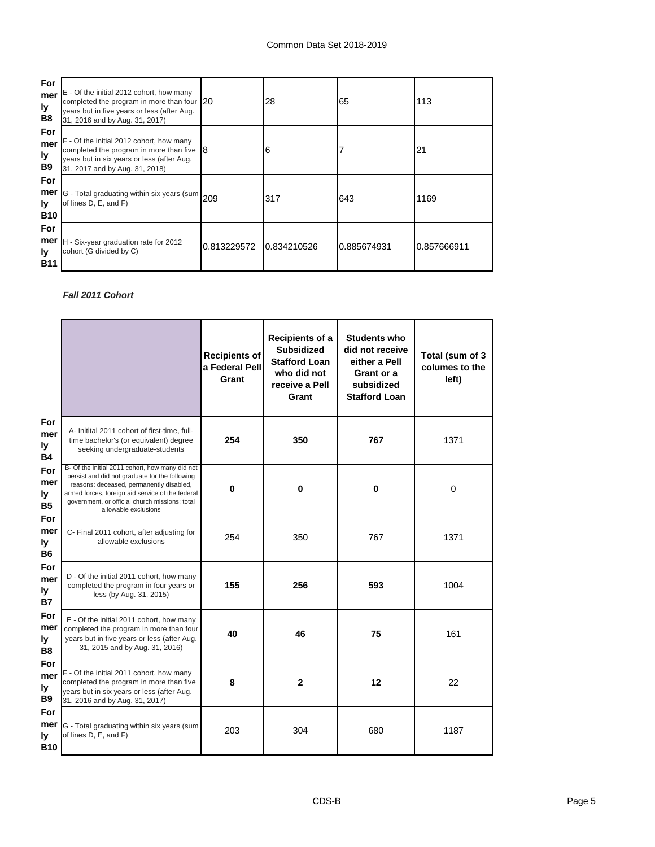| <b>For</b><br>mer<br>ly<br>B <sub>8</sub> | E - Of the initial 2012 cohort, how many<br>completed the program in more than four 20<br>years but in five years or less (after Aug.<br>31, 2016 and by Aug. 31, 2017) |             | 28          | 65          | 113         |
|-------------------------------------------|-------------------------------------------------------------------------------------------------------------------------------------------------------------------------|-------------|-------------|-------------|-------------|
| For<br>mer<br>ly<br>B9                    | F - Of the initial 2012 cohort, how many<br>completed the program in more than five $8$<br>years but in six years or less (after Aug.<br>31, 2017 and by Aug. 31, 2018) |             | 6           |             | 21          |
| For<br>mer<br>Iv<br><b>B10</b>            | G - Total graduating within six years (sum 209<br>of lines D, E, and F)                                                                                                 |             | 317         | 643         | 1169        |
| For<br>mer<br>Iv<br><b>B11</b>            | H - Six-year graduation rate for 2012<br>cohort (G divided by C)                                                                                                        | 0.813229572 | 0.834210526 | 0.885674931 | 0.857666911 |

## *Fall 2011 Cohort*

|                                |                                                                                                                                                                                                                                                                             | <b>Recipients of</b><br>a Federal Pell<br>Grant | Recipients of a<br><b>Subsidized</b><br><b>Stafford Loan</b><br>who did not<br>receive a Pell<br>Grant | <b>Students who</b><br>did not receive<br>either a Pell<br>Grant or a<br>subsidized<br><b>Stafford Loan</b> | Total (sum of 3<br>columes to the<br>left) |
|--------------------------------|-----------------------------------------------------------------------------------------------------------------------------------------------------------------------------------------------------------------------------------------------------------------------------|-------------------------------------------------|--------------------------------------------------------------------------------------------------------|-------------------------------------------------------------------------------------------------------------|--------------------------------------------|
| For<br>mer<br>ly<br><b>B4</b>  | A- Initital 2011 cohort of first-time, full-<br>time bachelor's (or equivalent) degree<br>seeking undergraduate-students                                                                                                                                                    | 254                                             | 350                                                                                                    | 767                                                                                                         | 1371                                       |
| For<br>mer<br>ly<br>B5         | B- Of the initial 2011 cohort, how many did not<br>persist and did not graduate for the following<br>reasons: deceased, permanently disabled,<br>armed forces, foreign aid service of the federal<br>government, or official church missions; total<br>allowable exclusions | $\bf{0}$                                        | $\bf{0}$                                                                                               | $\bf{0}$                                                                                                    | $\mathbf 0$                                |
| For<br>mer<br>ly<br>B6         | C- Final 2011 cohort, after adjusting for<br>allowable exclusions                                                                                                                                                                                                           | 254                                             | 350                                                                                                    | 767                                                                                                         | 1371                                       |
| For<br>mer<br>ly<br>В7         | D - Of the initial 2011 cohort, how many<br>completed the program in four years or<br>less (by Aug. 31, 2015)                                                                                                                                                               | 155                                             | 256                                                                                                    | 593                                                                                                         | 1004                                       |
| For<br>mer<br>ly<br>B8         | E - Of the initial 2011 cohort, how many<br>completed the program in more than four<br>years but in five years or less (after Aug.<br>31, 2015 and by Aug. 31, 2016)                                                                                                        | 40                                              | 46                                                                                                     | 75                                                                                                          | 161                                        |
| For<br>mer<br>ly<br>B9         | F - Of the initial 2011 cohort, how many<br>completed the program in more than five<br>years but in six years or less (after Aug.<br>31, 2016 and by Aug. 31, 2017)                                                                                                         | 8                                               | $\overline{2}$                                                                                         | 12                                                                                                          | 22                                         |
| For<br>mer<br>ly<br><b>B10</b> | G - Total graduating within six years (sum<br>of lines D, E, and F)                                                                                                                                                                                                         | 203                                             | 304                                                                                                    | 680                                                                                                         | 1187                                       |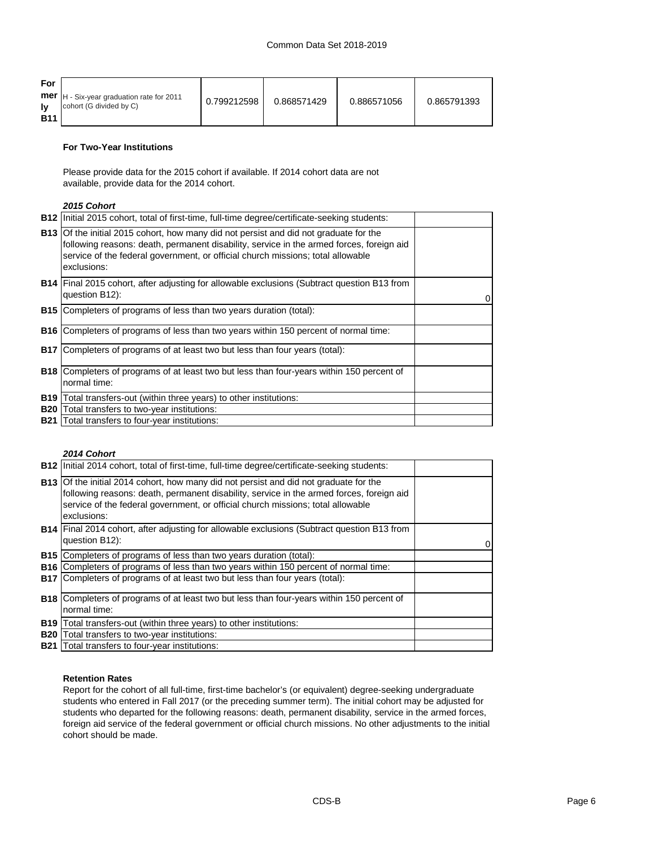| For               |                                                                              |             |             |             |             |
|-------------------|------------------------------------------------------------------------------|-------------|-------------|-------------|-------------|
| lv.<br><b>B11</b> | <b>mer</b>  H - Six-year graduation rate for 2011<br>cohort (G divided by C) | 0.799212598 | 0.868571429 | 0.886571056 | 0.865791393 |

#### **For Two-Year Institutions**

Please provide data for the 2015 cohort if available. If 2014 cohort data are not available, provide data for the 2014 cohort.

## *2015 Cohort*

|            | <b>B12</b> Initial 2015 cohort, total of first-time, full-time degree/certificate-seeking students:                                                                                                                                                                                        |   |
|------------|--------------------------------------------------------------------------------------------------------------------------------------------------------------------------------------------------------------------------------------------------------------------------------------------|---|
|            | <b>B13</b> Of the initial 2015 cohort, how many did not persist and did not graduate for the<br>following reasons: death, permanent disability, service in the armed forces, foreign aid<br>service of the federal government, or official church missions; total allowable<br>exclusions: |   |
|            | <b>B14</b> Final 2015 cohort, after adjusting for allowable exclusions (Subtract question B13 from<br>question B12):                                                                                                                                                                       | 0 |
|            | <b>B15</b> Completers of programs of less than two years duration (total):                                                                                                                                                                                                                 |   |
|            | <b>B16</b> Completers of programs of less than two years within 150 percent of normal time:                                                                                                                                                                                                |   |
|            | <b>B17</b> Completers of programs of at least two but less than four years (total):                                                                                                                                                                                                        |   |
|            | <b>B18</b> Completers of programs of at least two but less than four-years within 150 percent of<br>normal time:                                                                                                                                                                           |   |
| <b>B19</b> | Total transfers-out (within three years) to other institutions:                                                                                                                                                                                                                            |   |
| <b>B20</b> | Total transfers to two-year institutions:                                                                                                                                                                                                                                                  |   |
|            | <b>B21</b> Total transfers to four-year institutions:                                                                                                                                                                                                                                      |   |

## *2014 Cohort*

|            | <b>B12</b> Initial 2014 cohort, total of first-time, full-time degree/certificate-seeking students:                                                                                                                                                                                        |   |
|------------|--------------------------------------------------------------------------------------------------------------------------------------------------------------------------------------------------------------------------------------------------------------------------------------------|---|
|            | <b>B13</b> Of the initial 2014 cohort, how many did not persist and did not graduate for the<br>following reasons: death, permanent disability, service in the armed forces, foreign aid<br>service of the federal government, or official church missions; total allowable<br>exclusions: |   |
|            | B14   Final 2014 cohort, after adjusting for allowable exclusions (Subtract question B13 from<br>question B12):                                                                                                                                                                            | 0 |
|            | <b>B15</b> Completers of programs of less than two years duration (total):                                                                                                                                                                                                                 |   |
|            | <b>B16</b> Completers of programs of less than two years within 150 percent of normal time:                                                                                                                                                                                                |   |
|            | <b>B17</b> Completers of programs of at least two but less than four years (total):                                                                                                                                                                                                        |   |
|            | <b>B18</b> Completers of programs of at least two but less than four-years within 150 percent of<br>normal time:                                                                                                                                                                           |   |
| <b>B19</b> | Total transfers-out (within three years) to other institutions:                                                                                                                                                                                                                            |   |
| <b>B20</b> | Total transfers to two-year institutions:                                                                                                                                                                                                                                                  |   |
|            | <b>B21</b> Total transfers to four-year institutions:                                                                                                                                                                                                                                      |   |

### **Retention Rates**

Report for the cohort of all full-time, first-time bachelor's (or equivalent) degree-seeking undergraduate students who entered in Fall 2017 (or the preceding summer term). The initial cohort may be adjusted for students who departed for the following reasons: death, permanent disability, service in the armed forces, foreign aid service of the federal government or official church missions. No other adjustments to the initial cohort should be made.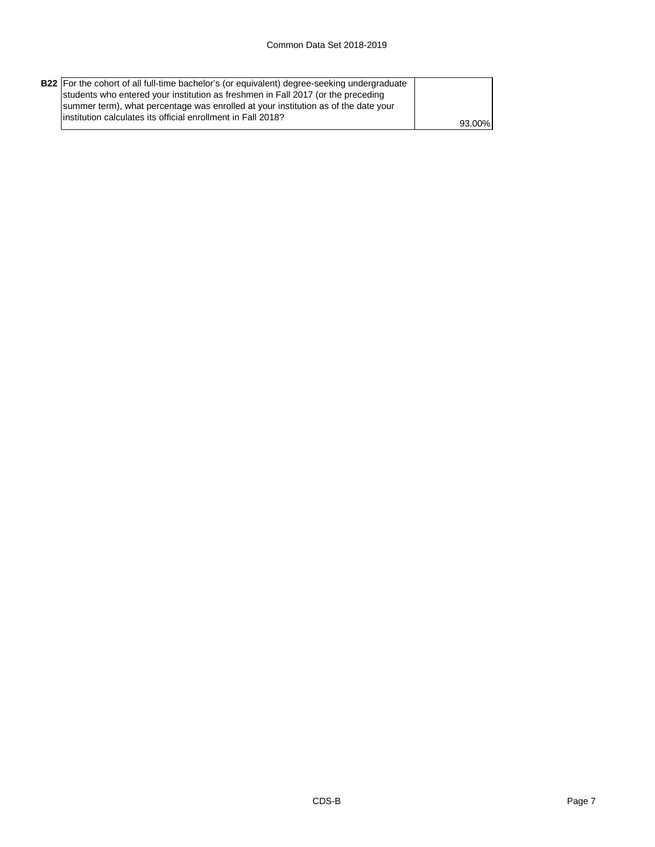| <b>B22</b> For the cohort of all full-time bachelor's (or equivalent) degree-seeking undergraduate<br>students who entered your institution as freshmen in Fall 2017 (or the preceding |        |
|----------------------------------------------------------------------------------------------------------------------------------------------------------------------------------------|--------|
| summer term), what percentage was enrolled at your institution as of the date your                                                                                                     |        |
| linstitution calculates its official enrollment in Fall 2018?                                                                                                                          | 93.00% |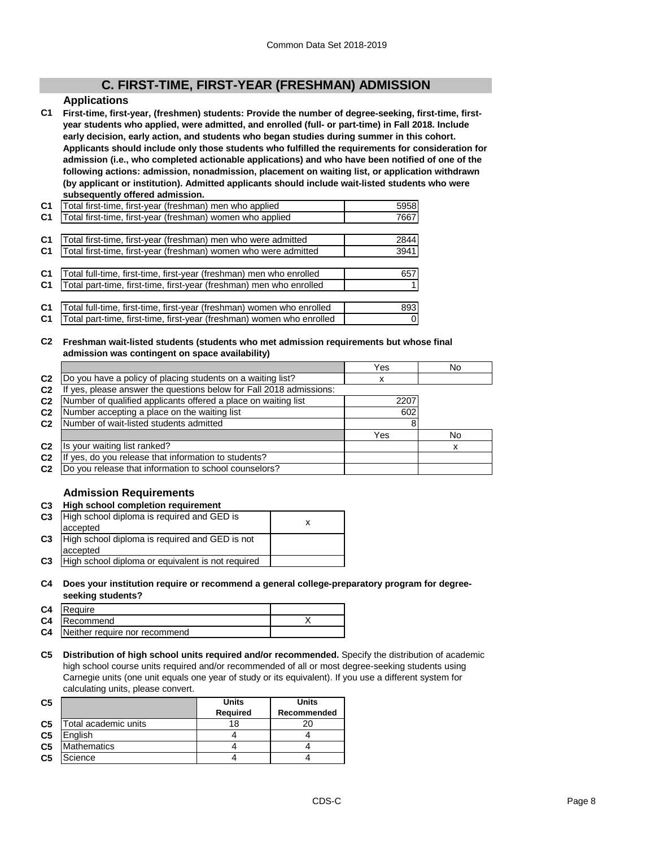# **C. FIRST-TIME, FIRST-YEAR (FRESHMAN) ADMISSION**

## **Applications**

**C1 First-time, first-year, (freshmen) students: Provide the number of degree-seeking, first-time, firstyear students who applied, were admitted, and enrolled (full- or part-time) in Fall 2018. Include early decision, early action, and students who began studies during summer in this cohort. Applicants should include only those students who fulfilled the requirements for consideration for admission (i.e., who completed actionable applications) and who have been notified of one of the following actions: admission, nonadmission, placement on waiting list, or application withdrawn (by applicant or institution). Admitted applicants should include wait-listed students who were subsequently offered admission.**

| C <sub>1</sub> | Total first-time, first-year (freshman) men who applied               | 5958           |
|----------------|-----------------------------------------------------------------------|----------------|
| C <sub>1</sub> | Total first-time, first-year (freshman) women who applied             | 7667           |
|                |                                                                       |                |
| C <sub>1</sub> | Total first-time, first-year (freshman) men who were admitted         | 2844           |
| C <sub>1</sub> | Total first-time, first-year (freshman) women who were admitted       | 3941           |
|                |                                                                       |                |
| C <sub>1</sub> | Total full-time, first-time, first-year (freshman) men who enrolled   | 657            |
| C <sub>1</sub> | Total part-time, first-time, first-year (freshman) men who enrolled   |                |
|                |                                                                       |                |
| C <sub>1</sub> | Total full-time, first-time, first-year (freshman) women who enrolled | 893            |
| C <sub>1</sub> | Total part-time, first-time, first-year (freshman) women who enrolled | $\overline{0}$ |

#### **C2 Freshman wait-listed students (students who met admission requirements but whose final admission was contingent on space availability)**

|                |                                                                  | Yes  | No  |
|----------------|------------------------------------------------------------------|------|-----|
| C <sub>2</sub> | Do you have a policy of placing students on a waiting list?      | х    |     |
| C <sub>2</sub> | yes, please answer the questions below for Fall 2018 admissions: |      |     |
| C <sub>2</sub> | Number of qualified applicants offered a place on waiting list   | 2207 |     |
| C <sub>2</sub> | Number accepting a place on the waiting list                     | 602  |     |
| C <sub>2</sub> | Number of wait-listed students admitted                          |      |     |
|                |                                                                  | Yes  | No. |
| C <sub>2</sub> | Is your waiting list ranked?                                     |      | x   |
| C <sub>2</sub> | yes, do you release that information to students?<br>Ιf          |      |     |
| C <sub>2</sub> | Do you release that information to school counselors?            |      |     |

## **Admission Requirements**

## **C3 High school completion requirement**

| C <sub>3</sub> | High school diploma is required and GED is        |  |
|----------------|---------------------------------------------------|--|
|                | accepted                                          |  |
| C <sub>3</sub> | High school diploma is required and GED is not    |  |
|                | accepted                                          |  |
| C <sub>3</sub> | High school diploma or equivalent is not required |  |

#### **C4 Does your institution require or recommend a general college-preparatory program for degreeseeking students?**

| C4 | Require                       |  |
|----|-------------------------------|--|
|    | <b>C4</b> Recommend           |  |
| C4 | Neither require nor recommend |  |

**C5 Distribution of high school units required and/or recommended.** Specify the distribution of academic high school course units required and/or recommended of all or most degree-seeking students using Carnegie units (one unit equals one year of study or its equivalent). If you use a different system for calculating units, please convert.

| C <sub>5</sub> |                      | <b>Units</b><br><b>Required</b> | Units<br>Recommended |
|----------------|----------------------|---------------------------------|----------------------|
| C <sub>5</sub> | Total academic units | 18                              |                      |
| C <sub>5</sub> | Enalish              |                                 |                      |
| C <sub>5</sub> | <b>Mathematics</b>   |                                 |                      |
| C <sub>5</sub> | Science              |                                 |                      |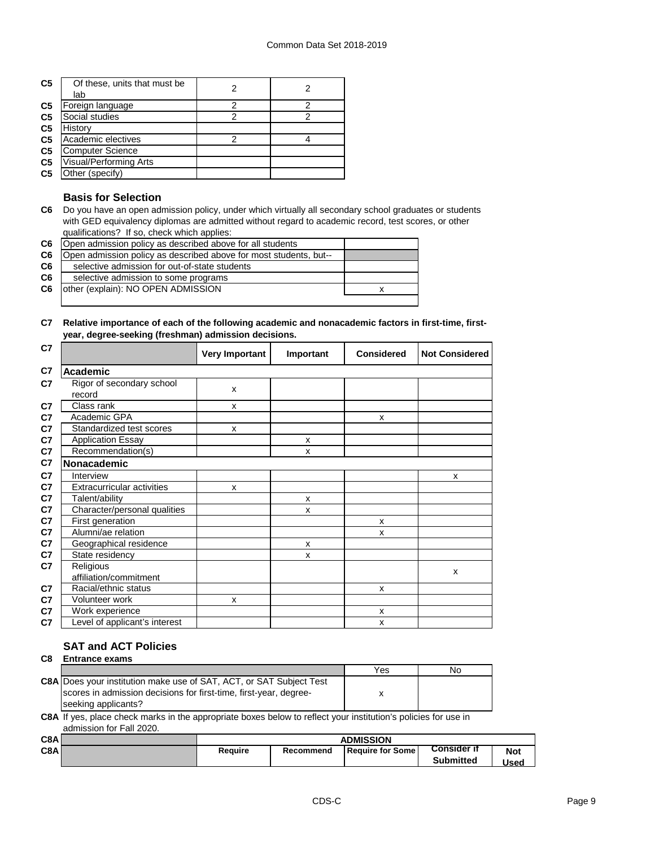| C <sub>5</sub> | Of these, units that must be<br>lab |   |   |
|----------------|-------------------------------------|---|---|
| C <sub>5</sub> | Foreign language                    | 2 | っ |
| C <sub>5</sub> | Social studies                      |   |   |
| C <sub>5</sub> | History                             |   |   |
| C <sub>5</sub> | Academic electives                  |   |   |
| C <sub>5</sub> | <b>Computer Science</b>             |   |   |
| C <sub>5</sub> | <b>Visual/Performing Arts</b>       |   |   |
| C <sub>5</sub> | Other (specifv)                     |   |   |

## **Basis for Selection**

**C6** Do you have an open admission policy, under which virtually all secondary school graduates or students with GED equivalency diplomas are admitted without regard to academic record, test scores, or other qualifications? If so, check which applies:

| C <sub>6</sub> | Open admission policy as described above for all students         |  |
|----------------|-------------------------------------------------------------------|--|
| C <sub>6</sub> | Open admission policy as described above for most students, but-- |  |
| C6             | selective admission for out-of-state students                     |  |
| C <sub>6</sub> | selective admission to some programs                              |  |
| C <sub>6</sub> | other (explain): NO OPEN ADMISSION                                |  |
|                |                                                                   |  |

#### **C7 Relative importance of each of the following academic and nonacademic factors in first-time, firstyear, degree-seeking (freshman) admission decisions.**

| C7             |                                     | <b>Very Important</b> | Important | <b>Considered</b> | <b>Not Considered</b> |
|----------------|-------------------------------------|-----------------------|-----------|-------------------|-----------------------|
| C7             | <b>Academic</b>                     |                       |           |                   |                       |
| C7             | Rigor of secondary school<br>record | X                     |           |                   |                       |
| C7             | Class rank                          | X                     |           |                   |                       |
| C7             | Academic GPA                        |                       |           | X                 |                       |
| C <sub>7</sub> | Standardized test scores            | X                     |           |                   |                       |
| C <sub>7</sub> | <b>Application Essay</b>            |                       | X         |                   |                       |
| C7             | Recommendation(s)                   |                       | x         |                   |                       |
| C <sub>7</sub> | Nonacademic                         |                       |           |                   |                       |
| C <sub>7</sub> | Interview                           |                       |           |                   | X                     |
| C7             | <b>Extracurricular activities</b>   | X                     |           |                   |                       |
| C7             | Talent/ability                      |                       | X         |                   |                       |
| C7             | Character/personal qualities        |                       | X         |                   |                       |
| C7             | First generation                    |                       |           | x                 |                       |
| C7             | Alumni/ae relation                  |                       |           | X                 |                       |
| C7             | Geographical residence              |                       | X         |                   |                       |
| C7             | State residency                     |                       | X         |                   |                       |
| C7             | Religious                           |                       |           |                   | X                     |
|                | affiliation/commitment              |                       |           |                   |                       |
| C <sub>7</sub> | Racial/ethnic status                |                       |           | X                 |                       |
| C <sub>7</sub> | Volunteer work                      | x                     |           |                   |                       |
| C <sub>7</sub> | Work experience                     |                       |           | x                 |                       |
| C <sub>7</sub> | Level of applicant's interest       |                       |           | X                 |                       |

## **SAT and ACT Policies**

## **C8 Entrance exams**

|                                                                            | Yes | Nο |
|----------------------------------------------------------------------------|-----|----|
| <b>C8A Does your institution make use of SAT, ACT, or SAT Subject Test</b> |     |    |
| scores in admission decisions for first-time, first-year, degree-          |     |    |
| seeking applicants?                                                        |     |    |
|                                                                            |     |    |

**C8A** If yes, place check marks in the appropriate boxes below to reflect your institution's policies for use in admission for Fall 2020.

| C8A |         |           | <b>ADMISSION</b>        |                    |            |
|-----|---------|-----------|-------------------------|--------------------|------------|
| C8A | Reauire | Recommend | <b>Require for Some</b> | <b>Consider if</b> | <b>Not</b> |
|     |         |           |                         | <b>Submitted</b>   | Used       |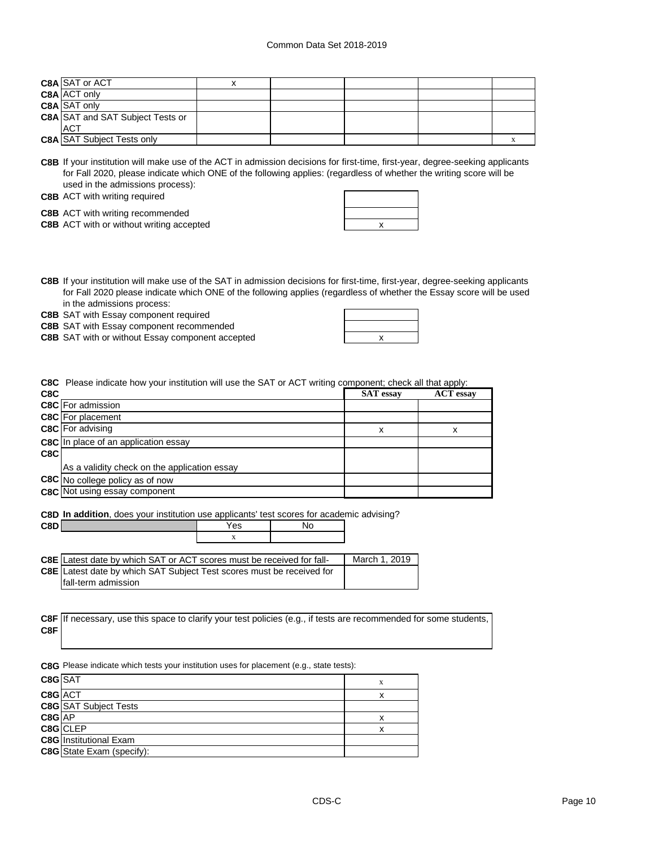| <b>C8A SAT or ACT</b>                   |  |  |  |
|-----------------------------------------|--|--|--|
| <b>C8A ACT only</b>                     |  |  |  |
| <b>C8A</b> SAT only                     |  |  |  |
| <b>C8A SAT and SAT Subject Tests or</b> |  |  |  |
| <b>ACT</b>                              |  |  |  |
| <b>C8A SAT Subject Tests only</b>       |  |  |  |

**C8B** If your institution will make use of the ACT in admission decisions for first-time, first-year, degree-seeking applicants for Fall 2020, please indicate which ONE of the following applies: (regardless of whether the writing score will be used in the admissions process):

**C8B** ACT with writing required

**C8B** ACT with writing recommended

**C8B** ACT with or without writing accepted **ACT Reserves Reserves Reserves Reserves Reserves Reserves Reserves Reserves Reserves Reserves Reserves Reserves Reserves Reserves Reserves Reserve** 

**C8B** If your institution will make use of the SAT in admission decisions for first-time, first-year, degree-seeking applicants for Fall 2020 please indicate which ONE of the following applies (regardless of whether the Essay score will be used in the admissions process:

**C8B** SAT with Essay component required

**C8B** SAT with Essay component recommended

**C8B** SAT with or without Essay component accepted **AT 2006** 2007 2018

| x |  |
|---|--|
|   |  |
|   |  |
|   |  |

**C8C** Please indicate how your institution will use the SAT or ACT writing component; check all that apply:

|                                              | <b>SAT</b> essay | <b>ACT</b> essay |
|----------------------------------------------|------------------|------------------|
| C8C For admission                            |                  |                  |
| <b>C8C</b> For placement                     |                  |                  |
| <b>C8C</b> For advising                      | x                | x                |
| C8C In place of an application essay         |                  |                  |
|                                              |                  |                  |
| As a validity check on the application essay |                  |                  |
| C8C No college policy as of now              |                  |                  |
| <b>C8C</b> Not using essay component         |                  |                  |
|                                              |                  |                  |

**C8D In addition**, does your institution use applicants' test scores for academic advising?

| C8DI                                                                                                                                                                |  |          |
|---------------------------------------------------------------------------------------------------------------------------------------------------------------------|--|----------|
|                                                                                                                                                                     |  |          |
|                                                                                                                                                                     |  |          |
| $\overline{C}$ $\overline{C}$ at least data by which $\overline{C}$ $\overline{A}$ $\overline{C}$ at $\overline{A}$ $\overline{C}$ access must be received for foll |  | $M$ orol |

| <b>C8E</b> Latest date by which SAT or ACT scores must be received for fall- | March 1, 2019 |
|------------------------------------------------------------------------------|---------------|
| <b>C8E</b> Latest date by which SAT Subject Test scores must be received for |               |
| fall-term admission                                                          |               |

|     | C8F If necessary, use this space to clarify your test policies (e.g., if tests are recommended for some students, |
|-----|-------------------------------------------------------------------------------------------------------------------|
| C8F |                                                                                                                   |

**C8G** Please indicate which tests your institution uses for placement (e.g., state tests):

| C8G SAT |                                  | X |
|---------|----------------------------------|---|
| C8G ACT |                                  |   |
|         | <b>C8G</b> SAT Subject Tests     |   |
| C8G AP  |                                  | x |
|         | C8G CLEP                         | x |
|         | <b>C8G</b> Institutional Exam    |   |
|         | <b>C8G</b> State Exam (specify): |   |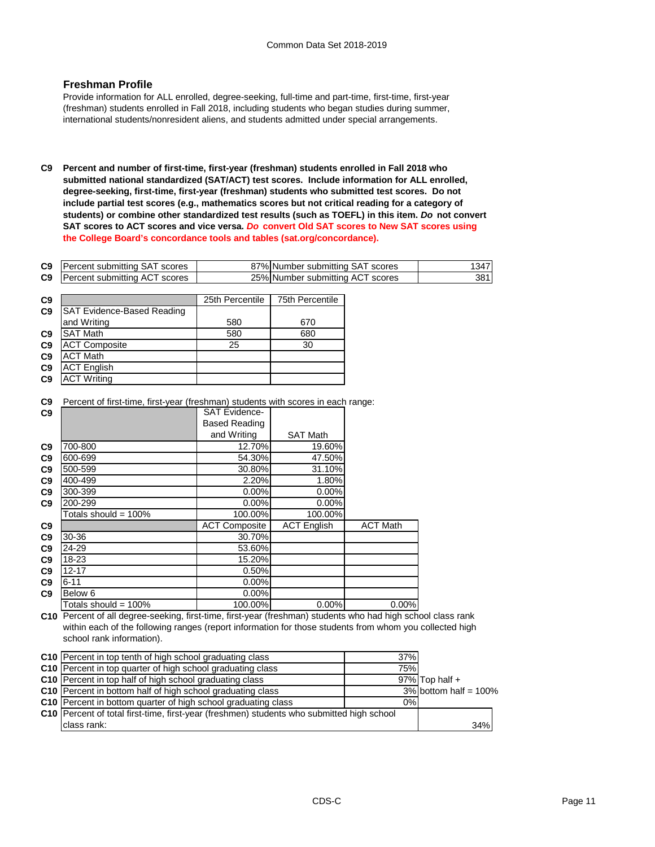## **Freshman Profile**

Provide information for ALL enrolled, degree-seeking, full-time and part-time, first-time, first-year (freshman) students enrolled in Fall 2018, including students who began studies during summer, international students/nonresident aliens, and students admitted under special arrangements.

**C9 Percent and number of first-time, first-year (freshman) students enrolled in Fall 2018 who submitted national standardized (SAT/ACT) test scores. Include information for ALL enrolled, degree-seeking, first-time, first-year (freshman) students who submitted test scores. Do not include partial test scores (e.g., mathematics scores but not critical reading for a category of students) or combine other standardized test results (such as TOEFL) in this item.** *Do* **not convert SAT scores to ACT scores and vice versa.** *Do* **convert Old SAT scores to New SAT scores using the College Board's concordance tools and tables (sat.org/concordance).**

| C9 | Percent submitting SAT scores | 87% Number submitting SAT scores | 347  |
|----|-------------------------------|----------------------------------|------|
| C9 | Percent submitting ACT scores | 25% Number submitting ACT scores | 381I |

| C <sub>9</sub> |                                   | 25th Percentile | 75th Percentile |
|----------------|-----------------------------------|-----------------|-----------------|
| C9             | <b>SAT Evidence-Based Reading</b> |                 |                 |
|                | and Writing                       | 580             | 670             |
| C <sub>9</sub> | <b>SAT Math</b>                   | 580             | 680             |
| C9             | <b>ACT Composite</b>              | 25              | 30              |
| C9             | <b>ACT Math</b>                   |                 |                 |
| C <sub>9</sub> | <b>ACT English</b>                |                 |                 |
| C <sub>9</sub> | <b>ACT Writing</b>                |                 |                 |

**C9** Percent of first-time, first-year (freshman) students with scores in each range:

| C9             |                         | <b>SAT Evidence-</b> |                    |                 |
|----------------|-------------------------|----------------------|--------------------|-----------------|
|                |                         | <b>Based Reading</b> |                    |                 |
|                |                         | and Writing          | <b>SAT Math</b>    |                 |
| C9             | 700-800                 | 12.70%               | 19.60%             |                 |
| C9             | 600-699                 | 54.30%               | 47.50%             |                 |
| C9             | 500-599                 | 30.80%               | 31.10%             |                 |
| C9             | 400-499                 | 2.20%                | 1.80%              |                 |
| C9             | 300-399                 | 0.00%                | 0.00%              |                 |
| C <sub>9</sub> | 200-299                 | 0.00%                | 0.00%              |                 |
|                | Totals should = $100\%$ | 100.00%              | 100.00%            |                 |
| C9             |                         | <b>ACT Composite</b> | <b>ACT English</b> | <b>ACT Math</b> |
| C9             | 30-36                   | 30.70%               |                    |                 |
| C9             | 24-29                   | 53.60%               |                    |                 |
| C9             | 18-23                   | 15.20%               |                    |                 |
| C9             | $12 - 17$               | 0.50%                |                    |                 |
| C9             | $6 - 11$                | $0.00\%$             |                    |                 |
| C9             | Below 6                 | 0.00%                |                    |                 |
|                | Totals should = $100\%$ | 100.00%              | $0.00\%$           | 0.00%           |

**C10** Percent of all degree-seeking, first-time, first-year (freshman) students who had high school class rank within each of the following ranges (report information for those students from whom you collected high school rank information).

| C10 Percent in top tenth of high school graduating class                                         | 37% |                          |
|--------------------------------------------------------------------------------------------------|-----|--------------------------|
| C10 Percent in top quarter of high school graduating class                                       | 75% |                          |
| <b>C10</b> Percent in top half of high school graduating class                                   |     | $97\%$ Top half +        |
| <b>C10</b> Percent in bottom half of high school graduating class                                |     | $3\%$ bottom half = 100% |
| C10 Percent in bottom quarter of high school graduating class                                    | 0%  |                          |
| <b>C10</b> Percent of total first-time, first-year (freshmen) students who submitted high school |     |                          |
| class rank:                                                                                      |     | 34%                      |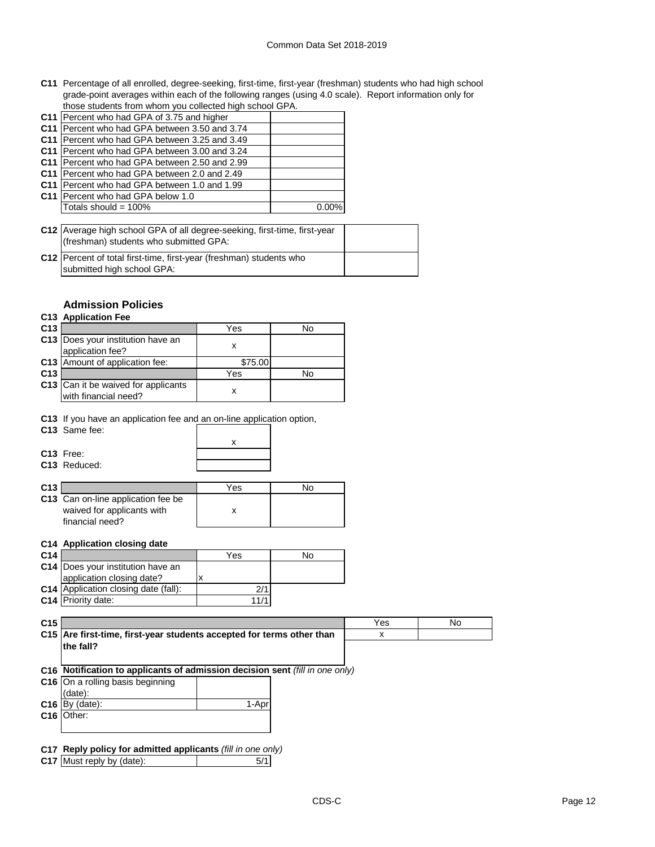#### Common Data Set 2018-2019

**C11** Percentage of all enrolled, degree-seeking, first-time, first-year (freshman) students who had high school grade-point averages within each of the following ranges (using 4.0 scale). Report information only for those students from whom you collected high school GPA.

| C11 Percent who had GPA of 3.75 and higher    |          |
|-----------------------------------------------|----------|
| C11 Percent who had GPA between 3.50 and 3.74 |          |
| C11 Percent who had GPA between 3.25 and 3.49 |          |
| C11 Percent who had GPA between 3.00 and 3.24 |          |
| C11 Percent who had GPA between 2.50 and 2.99 |          |
| C11 Percent who had GPA between 2.0 and 2.49  |          |
| C11 Percent who had GPA between 1.0 and 1.99  |          |
| C11 Percent who had GPA below 1.0             |          |
| Totals should = 100%                          | $0.00\%$ |
|                                               |          |

**C12** Average high school GPA of all degree-seeking, first-time, first-year **C12** Percent of total first-time, first-year (freshman) students who (freshman) students who submitted GPA:

## **Admission Policies**

submitted high school GPA:

## **C13 Application Fee**

| C <sub>13</sub> |                                                             | Yes     | N٥ |
|-----------------|-------------------------------------------------------------|---------|----|
|                 | C13 Does your institution have an<br>application fee?       |         |    |
|                 | C13 Amount of application fee:                              | \$75.00 |    |
| C <sub>13</sub> |                                                             | Yes     | No |
|                 | C13 Can it be waived for applicants<br>with financial need? |         |    |

**C13** If you have an application fee and an on-line application option,

| C <sub>13</sub> Same fee: |  |
|---------------------------|--|
|                           |  |
| C <sub>13</sub> Free:     |  |
| C <sub>13</sub> Reduced:  |  |
|                           |  |

| C13 I |                                    | Yes |  |
|-------|------------------------------------|-----|--|
|       | C13 Can on-line application fee be |     |  |
|       | waived for applicants with         |     |  |
|       | financial need?                    |     |  |

#### **C14 Application closing date**

| C <sub>14</sub> |                                             | Yes  | No |
|-----------------|---------------------------------------------|------|----|
|                 | C14 Does your institution have an           |      |    |
|                 | application closing date?                   |      |    |
|                 | <b>C14</b> Application closing date (fall): |      |    |
|                 | <b>C14</b> Priority date:                   | 11/1 |    |

| C <sub>15</sub> |                                                                              |  | Yes | No |
|-----------------|------------------------------------------------------------------------------|--|-----|----|
|                 | C15 Are first-time, first-year students accepted for terms other than        |  | х   |    |
|                 | the fall?                                                                    |  |     |    |
|                 |                                                                              |  |     |    |
|                 | C16 Notification to applicants of admission decision sent (fill in one only) |  |     |    |
|                 | C16 On a rolling basis beginning                                             |  |     |    |
|                 | (date):                                                                      |  |     |    |
|                 | 1-Apr<br>$C16$ $By$ (date):                                                  |  |     |    |
|                 | C <sub>16</sub>   Other:                                                     |  |     |    |
|                 |                                                                              |  |     |    |
|                 |                                                                              |  |     |    |
|                 | C17 Reply policy for admitted applicants (fill in one only)                  |  |     |    |
|                 |                                                                              |  |     |    |

**C17** Must reply by (date):  $\begin{bmatrix} 5/1 \end{bmatrix}$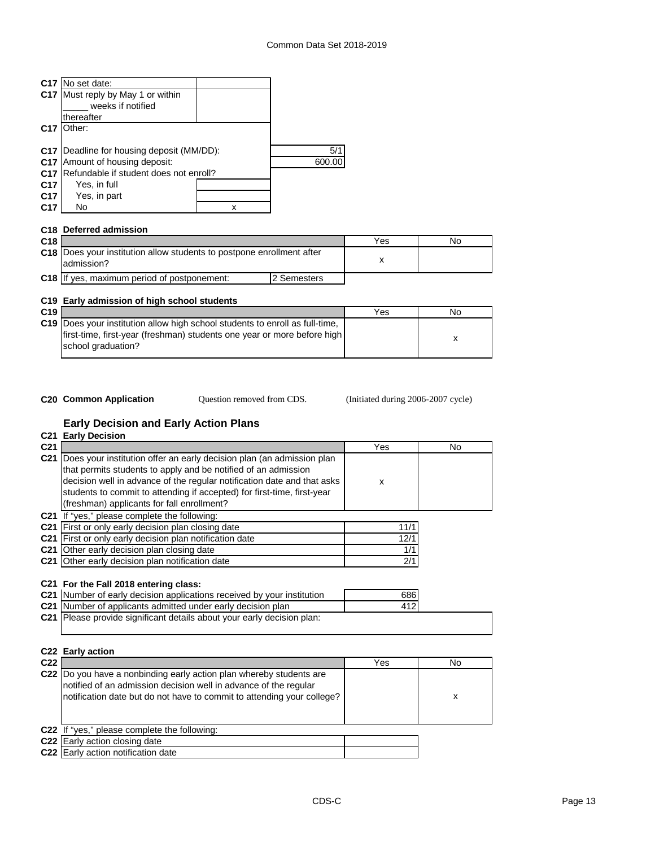|                 | C <sub>17</sub> No set date:                     |   |      |
|-----------------|--------------------------------------------------|---|------|
|                 | C17 Must reply by May 1 or within                |   |      |
|                 | weeks if notified                                |   |      |
|                 | thereafter                                       |   |      |
| C <sub>17</sub> | Other:                                           |   |      |
|                 |                                                  |   |      |
|                 | <b>C17</b> Deadline for housing deposit (MM/DD): |   | 5/1  |
|                 | <b>C17</b> Amount of housing deposit:            |   | 600. |
| C <sub>17</sub> | Refundable if student does not enroll?           |   |      |
| C17             | Yes, in full                                     |   |      |
| C <sub>17</sub> | Yes, in part                                     |   |      |
| C17             | No                                               | x |      |
|                 |                                                  |   |      |
|                 | C <sub>18</sub> Deferred admission               |   |      |

| C <sub>18</sub> |                                                                                     |             | Yes | Nο |
|-----------------|-------------------------------------------------------------------------------------|-------------|-----|----|
|                 | C18 Does your institution allow students to postpone enrollment after<br>admission? |             |     |    |
|                 | C18 If yes, maximum period of postponement:                                         | 2 Semesters |     |    |

## **C19 Early admission of high school students**

| C <sub>19</sub> |                                                                                | Yes | No |
|-----------------|--------------------------------------------------------------------------------|-----|----|
|                 | C19   Does your institution allow high school students to enroll as full-time, |     |    |
|                 | first-time, first-year (freshman) students one year or more before high        |     |    |
|                 | school graduation?                                                             |     |    |
|                 |                                                                                |     |    |

Question removed from CDS.

**C20 Common Application Question removed from CDS.** (Initiated during 2006-2007 cycle)

# **Early Decision and Early Action Plans**

|                 | C <sub>21</sub> Early Decision                                                |                           |                |  |  |
|-----------------|-------------------------------------------------------------------------------|---------------------------|----------------|--|--|
| C <sub>21</sub> |                                                                               | Yes                       | N <sub>0</sub> |  |  |
|                 | C21 Does your institution offer an early decision plan (an admission plan     |                           |                |  |  |
|                 | that permits students to apply and be notified of an admission                |                           |                |  |  |
|                 | decision well in advance of the regular notification date and that asks       | $\boldsymbol{\mathsf{x}}$ |                |  |  |
|                 | students to commit to attending if accepted) for first-time, first-year       |                           |                |  |  |
|                 | (freshman) applicants for fall enrollment?                                    |                           |                |  |  |
|                 | C21 If "yes," please complete the following:                                  |                           |                |  |  |
|                 | C21 First or only early decision plan closing date                            | 11/1                      |                |  |  |
|                 | C21 First or only early decision plan notification date                       | 12/1                      |                |  |  |
|                 | C21 Other early decision plan closing date                                    | 1/1                       |                |  |  |
|                 | C21 Other early decision plan notification date                               | 2/1                       |                |  |  |
|                 |                                                                               |                           |                |  |  |
|                 | C21 For the Fall 2018 entering class:                                         |                           |                |  |  |
|                 | C21 Number of early decision applications received by your institution        | 686                       |                |  |  |
|                 | C21 Number of applicants admitted under early decision plan                   | 412                       |                |  |  |
|                 | <b>C21</b> Please provide significant details about your early decision plan: |                           |                |  |  |
|                 |                                                                               |                           |                |  |  |
|                 |                                                                               |                           |                |  |  |
|                 | C22 Early action                                                              |                           |                |  |  |
| C22             |                                                                               | Yes                       | No             |  |  |
|                 | C22 Do you have a nonbinding early action plan whereby students are           |                           |                |  |  |
|                 | notified of an admission decision well in advance of the regular              |                           |                |  |  |
|                 | notification date but do not have to commit to attending your college?        |                           | X              |  |  |
|                 |                                                                               |                           |                |  |  |
|                 |                                                                               |                           |                |  |  |
|                 | C22 If "yes," please complete the following:                                  |                           |                |  |  |
|                 | C22 Early action closing date                                                 |                           |                |  |  |
|                 | <b>C22</b> Early action notification date                                     |                           |                |  |  |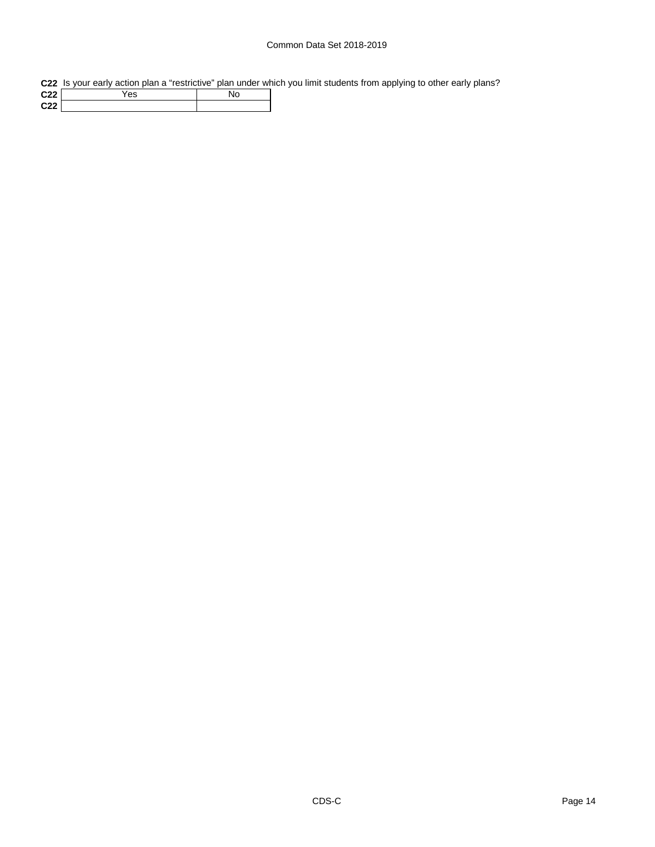## Common Data Set 2018-2019

**C22** Is your early action plan a "restrictive" plan under which you limit students from applying to other early plans?

| C <sub>22</sub> | es |  |
|-----------------|----|--|
| C <sub>22</sub> |    |  |
|                 |    |  |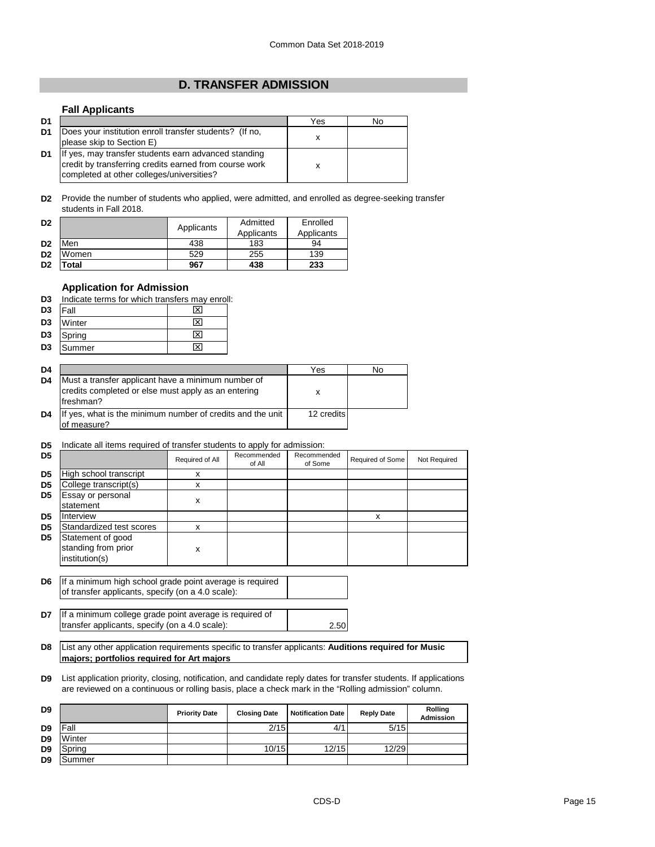## **D. TRANSFER ADMISSION**

#### **Fall Applicants**

| D <sub>1</sub> |                                                                                                                                                             | Yes | No |
|----------------|-------------------------------------------------------------------------------------------------------------------------------------------------------------|-----|----|
| D1             | Does your institution enroll transfer students? (If no,<br>please skip to Section E)                                                                        |     |    |
| D <sub>1</sub> | If yes, may transfer students earn advanced standing<br>credit by transferring credits earned from course work<br>completed at other colleges/universities? |     |    |

**D2** Provide the number of students who applied, were admitted, and enrolled as degree-seeking transfer students in Fall 2018.

| D <sub>2</sub> |       | Applicants | Admitted<br>Applicants | Enrolled<br>Applicants |
|----------------|-------|------------|------------------------|------------------------|
| D <sub>2</sub> | Men   | 438        | 183                    | 94                     |
| D <sub>2</sub> | Women | 529        | 255                    | 139                    |
| D <sub>2</sub> | otal. | 967        | 438                    | 233                    |

## **Application for Admission**

**D3** Indicate terms for which transfers may enroll:

| D <sub>3</sub> | Fall   | 1ਂ ⊠ |
|----------------|--------|------|
| D <sub>3</sub> | Winter | ⊠    |
| D <sub>3</sub> | Spring | ⊠    |
| D <sub>3</sub> | Summer | ∣x   |

| D <sub>4</sub> |                                                                                                                        | Yes        | No |
|----------------|------------------------------------------------------------------------------------------------------------------------|------------|----|
| D <sub>4</sub> | Must a transfer applicant have a minimum number of<br>credits completed or else must apply as an entering<br>freshman? | x          |    |
| D <sub>4</sub> | If yes, what is the minimum number of credits and the unit<br>of measure?                                              | 12 credits |    |

#### **D5** Indicate all items required of transfer students to apply for admission:

| D <sub>5</sub> |                                                            | Required of All | Recommended<br>of All | Recommended<br>of Some | Required of Some | Not Required |
|----------------|------------------------------------------------------------|-----------------|-----------------------|------------------------|------------------|--------------|
| D <sub>5</sub> | High school transcript                                     | x               |                       |                        |                  |              |
| D <sub>5</sub> | College transcript(s)                                      | x               |                       |                        |                  |              |
| D <sub>5</sub> | Essay or personal<br>statement                             | х               |                       |                        |                  |              |
| D <sub>5</sub> | Interview                                                  |                 |                       |                        | x                |              |
| D <sub>5</sub> | Standardized test scores                                   | x               |                       |                        |                  |              |
| D <sub>5</sub> | Statement of good<br>standing from prior<br>institution(s) | x               |                       |                        |                  |              |
|                |                                                            |                 |                       |                        |                  |              |

**D6** If a minimum high school grade point average is required of transfer applicants, specify (on a 4.0 scale):

**D7** 2.50 If a minimum college grade point average is required of transfer applicants, specify (on a 4.0 scale):

**D8** List any other application requirements specific to transfer applicants: **Auditions required for Music majors; portfolios required for Art majors**

**D9** List application priority, closing, notification, and candidate reply dates for transfer students. If applications are reviewed on a continuous or rolling basis, place a check mark in the "Rolling admission" column.

| D <sub>9</sub> |        | <b>Priority Date</b> | <b>Closing Date</b> | <b>Notification Date</b> | <b>Reply Date</b> | <b>Rolling</b><br><b>Admission</b> |
|----------------|--------|----------------------|---------------------|--------------------------|-------------------|------------------------------------|
| D <sub>9</sub> | Fall   |                      | 2/15                | 4/1                      | 5/15              |                                    |
| D <sub>9</sub> | Winter |                      |                     |                          |                   |                                    |
| D <sub>9</sub> | Spring |                      | 10/15               | 12/15                    | 12/29             |                                    |
| D <sub>9</sub> | Summer |                      |                     |                          |                   |                                    |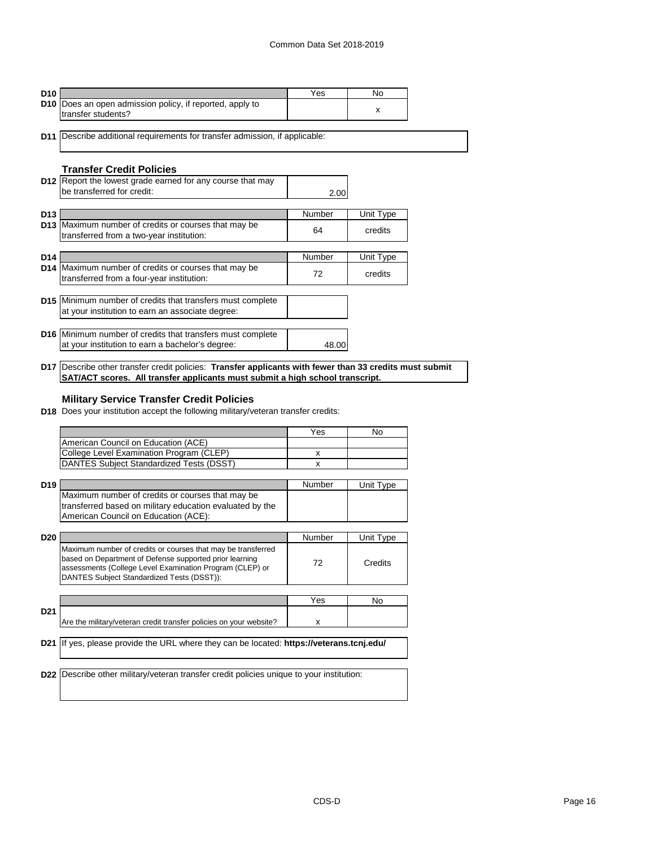| D <sub>10</sub> |                                                                 | Yes | Nο |
|-----------------|-----------------------------------------------------------------|-----|----|
|                 | <b>D10</b> Does an open admission policy, if reported, apply to |     |    |
|                 | transfer students?                                              |     |    |

**D11** Describe additional requirements for transfer admission, if applicable:

## **Transfer Credit Policies**

|                 | D12 Report the lowest grade earned for any course that may<br>be transferred for credit:                              | 2.00   |           |
|-----------------|-----------------------------------------------------------------------------------------------------------------------|--------|-----------|
|                 |                                                                                                                       |        |           |
| D <sub>13</sub> |                                                                                                                       | Number | Unit Type |
| D <sub>13</sub> | Maximum number of credits or courses that may be<br>transferred from a two-year institution:                          | 64     | credits   |
|                 |                                                                                                                       |        |           |
| D <sub>14</sub> |                                                                                                                       | Number | Unit Type |
|                 | <b>D14</b> Maximum number of credits or courses that may be<br>transferred from a four-year institution:              | 72     | credits   |
|                 |                                                                                                                       |        |           |
|                 | <b>D15</b> Minimum number of credits that transfers must complete<br>at your institution to earn an associate degree: |        |           |
|                 |                                                                                                                       |        |           |
|                 | <b>D16</b> Minimum number of credits that transfers must complete                                                     |        |           |
|                 | at your institution to earn a bachelor's degree:                                                                      | 48.00  |           |
|                 |                                                                                                                       |        |           |

**D17** Describe other transfer credit policies: **Transfer applicants with fewer than 33 credits must submit SAT/ACT scores. All transfer applicants must submit a high school transcript.**

## **Military Service Transfer Credit Policies**

**D18** Does your institution accept the following military/veteran transfer credits:

|                 |                                                                                                 | Yes    | No        |
|-----------------|-------------------------------------------------------------------------------------------------|--------|-----------|
|                 | American Council on Education (ACE)                                                             |        |           |
|                 | College Level Examination Program (CLEP)                                                        | x      |           |
|                 | DANTES Subject Standardized Tests (DSST)                                                        | x      |           |
|                 |                                                                                                 |        |           |
| D <sub>19</sub> |                                                                                                 | Number | Unit Type |
|                 | Maximum number of credits or courses that may be                                                |        |           |
|                 | transferred based on military education evaluated by the                                        |        |           |
|                 | American Council on Education (ACE):                                                            |        |           |
|                 |                                                                                                 |        |           |
| D <sub>20</sub> |                                                                                                 | Number | Unit Type |
|                 | Maximum number of credits or courses that may be transferred                                    |        |           |
|                 | based on Department of Defense supported prior learning                                         | 72     | Credits   |
|                 | assessments (College Level Examination Program (CLEP) or                                        |        |           |
|                 | DANTES Subject Standardized Tests (DSST)):                                                      |        |           |
|                 |                                                                                                 |        |           |
|                 |                                                                                                 | Yes    | Nο        |
| D <sub>21</sub> |                                                                                                 |        |           |
|                 | Are the military/veteran credit transfer policies on your website?                              | x      |           |
|                 |                                                                                                 |        |           |
|                 | <b>D21</b> If yes, please provide the URL where they can be located: https://veterans.tcnj.edu/ |        |           |
|                 |                                                                                                 |        |           |
|                 |                                                                                                 |        |           |
|                 | <b>D22</b> Describe other military/veteran transfer credit policies unique to your institution: |        |           |
|                 |                                                                                                 |        |           |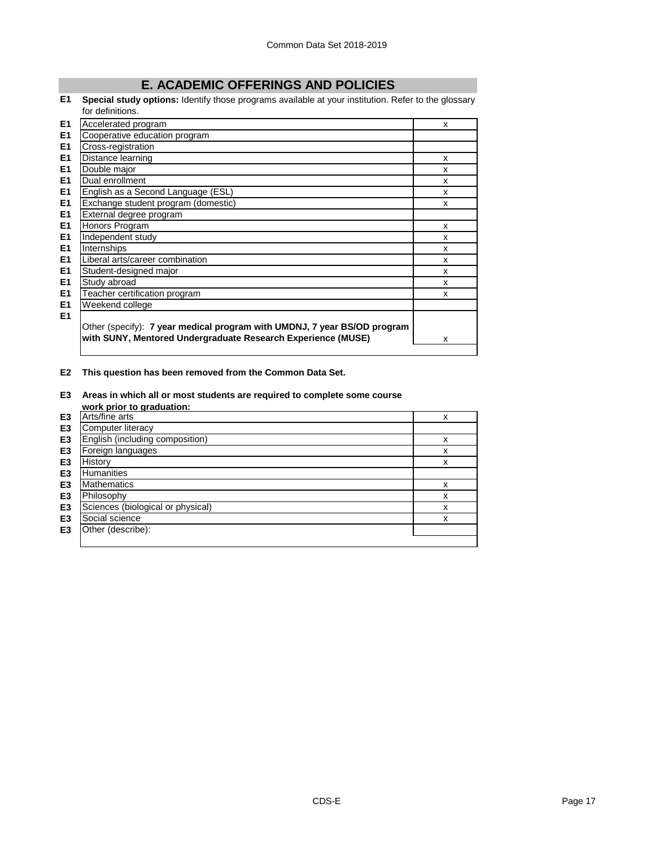# **E. ACADEMIC OFFERINGS AND POLICIES**

**E1 Special study options:** Identify those programs available at your institution. Refer to the glossary for definitions.

| E1             | Accelerated program                                                                                                                      | X |
|----------------|------------------------------------------------------------------------------------------------------------------------------------------|---|
| E <sub>1</sub> | Cooperative education program                                                                                                            |   |
| E1             | Cross-registration                                                                                                                       |   |
| E1             | Distance learning                                                                                                                        | X |
| E1             | Double major                                                                                                                             | x |
| E1             | Dual enrollment                                                                                                                          | X |
| E1             | English as a Second Language (ESL)                                                                                                       | x |
| E1             | Exchange student program (domestic)                                                                                                      | x |
| E1             | External degree program                                                                                                                  |   |
| E <sub>1</sub> | Honors Program                                                                                                                           | X |
| E1             | Independent study                                                                                                                        | x |
| E1             | Internships                                                                                                                              | X |
| E1             | Liberal arts/career combination                                                                                                          | X |
| E <sub>1</sub> | Student-designed major                                                                                                                   | x |
| E1             | Study abroad                                                                                                                             | x |
| E1             | Teacher certification program                                                                                                            | X |
| E1             | Weekend college                                                                                                                          |   |
| E1             | Other (specify): 7 year medical program with UMDNJ, 7 year BS/OD program<br>with SUNY, Mentored Undergraduate Research Experience (MUSE) | x |

**E2 This question has been removed from the Common Data Set.**

**E3 Areas in which all or most students are required to complete some course** 

|                | work prior to graduation:         |   |
|----------------|-----------------------------------|---|
| E <sub>3</sub> | Arts/fine arts                    | x |
| E <sub>3</sub> | Computer literacy                 |   |
| E <sub>3</sub> | English (including composition)   | x |
| E <sub>3</sub> | Foreign languages                 | x |
| E <sub>3</sub> | History                           | x |
| E <sub>3</sub> | <b>Humanities</b>                 |   |
| E <sub>3</sub> | <b>Mathematics</b>                | x |
| E <sub>3</sub> | Philosophy                        | x |
| E <sub>3</sub> | Sciences (biological or physical) | x |
| E <sub>3</sub> | Social science                    | x |
| E <sub>3</sub> | Other (describe):                 |   |
|                |                                   |   |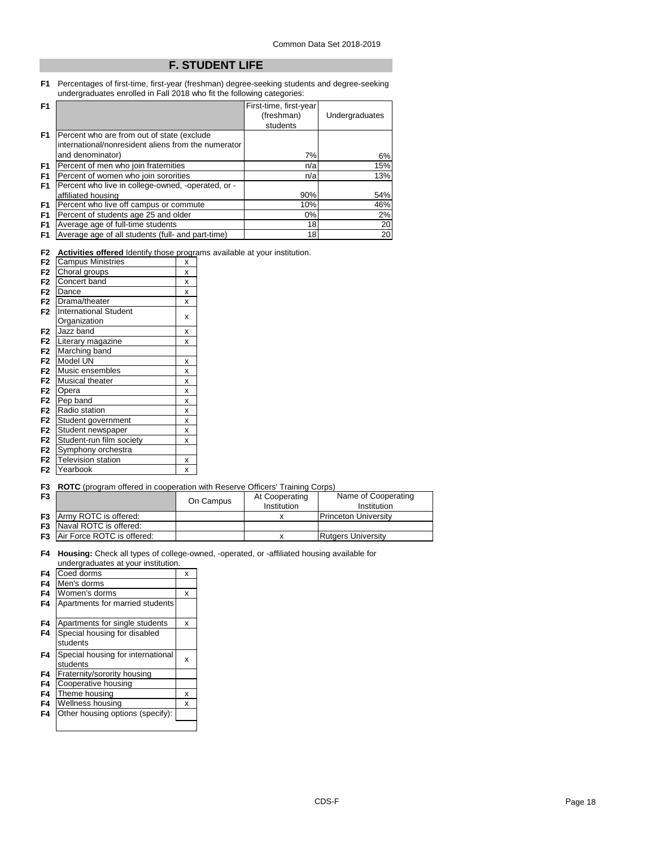## **F. STUDENT LIFE**

**F1** Percentages of first-time, first-year (freshman) degree-seeking students and degree-seeking undergraduates enrolled in Fall 2018 who fit the following categories:

| F <sub>1</sub> |                                                     | First-time, first-year |                |
|----------------|-----------------------------------------------------|------------------------|----------------|
|                |                                                     | (freshman)             | Undergraduates |
|                |                                                     | students               |                |
| F <sub>1</sub> | Percent who are from out of state (exclude          |                        |                |
|                | international/nonresident aliens from the numerator |                        |                |
|                | and denominator)                                    | 7%                     | 6%             |
| F <sub>1</sub> | Percent of men who join fraternities                | n/a                    | 15%            |
| F <sub>1</sub> | Percent of women who join sororities                | n/a                    | 13%            |
| F <sub>1</sub> | Percent who live in college-owned, -operated, or -  |                        |                |
|                | affiliated housing                                  | 90%                    | 54%            |
| F <sub>1</sub> | Percent who live off campus or commute              | 10%                    | 46%            |
| F <sub>1</sub> | Percent of students age 25 and older                | $0\%$                  | 2%             |
| F <sub>1</sub> | Average age of full-time students                   | 18                     | 20             |
| F <sub>1</sub> | Average age of all students (full- and part-time)   | 18                     | 20             |

**F2 Activities offered** Identify those programs available at your institution.

| F <sub>2</sub> | <b>Campus Ministries</b>     | X |
|----------------|------------------------------|---|
| F <sub>2</sub> | Choral groups                | X |
| F <sub>2</sub> | Concert band                 | X |
| F <sub>2</sub> | Dance                        | X |
| F <sub>2</sub> | Drama/theater                | X |
| F <sub>2</sub> | <b>International Student</b> |   |
|                | Organization                 | x |
| F <sub>2</sub> | Jazz band                    | x |
| F <sub>2</sub> | Literary magazine            | x |
| F <sub>2</sub> | Marching band                |   |
| F <sub>2</sub> | Model UN                     | x |
| F <sub>2</sub> | Music ensembles              | x |
| F <sub>2</sub> | <b>Musical theater</b>       | X |
| F <sub>2</sub> | Opera                        | x |
| F <sub>2</sub> | Pep band                     | x |
| F <sub>2</sub> | Radio station                | X |
| F <sub>2</sub> | Student government           | X |
| F <sub>2</sub> | Student newspaper            | X |
| F <sub>2</sub> | Student-run film society     | x |
| F <sub>2</sub> | Symphony orchestra           |   |
| F <sub>2</sub> | <b>Television station</b>    | x |
| F <sub>2</sub> | Yearbook                     | X |

#### **F3 ROTC** (program offered in cooperation with Reserve Officers' Training Corps)

| F <sub>3</sub> |                                      | On Campus | At Cooperating | Name of Cooperating         |  |
|----------------|--------------------------------------|-----------|----------------|-----------------------------|--|
|                |                                      |           | Institution    | Institution                 |  |
|                | <b>F3</b> Army ROTC is offered:      |           |                | <b>Princeton University</b> |  |
|                | <b>F3</b> Naval ROTC is offered:     |           |                |                             |  |
|                | <b>F3</b> Air Force ROTC is offered: |           |                | <b>Rutgers University</b>   |  |

**F4 Housing:** Check all types of college-owned, -operated, or -affiliated housing available for undergraduates at your institution.

| F4 | Coed dorms                        | x |
|----|-----------------------------------|---|
| F4 | Men's dorms                       |   |
| F4 | Women's dorms                     | x |
| F4 | Apartments for married students   |   |
| F4 | Apartments for single students    | x |
| F4 | Special housing for disabled      |   |
|    | students                          |   |
| F4 | Special housing for international | X |
|    | students                          |   |
| F4 | Fraternity/sorority housing       |   |
| F4 | Cooperative housing               |   |
| F4 | Theme housing                     | x |
| F4 | Wellness housing                  | x |
| F4 | Other housing options (specify):  |   |
|    |                                   |   |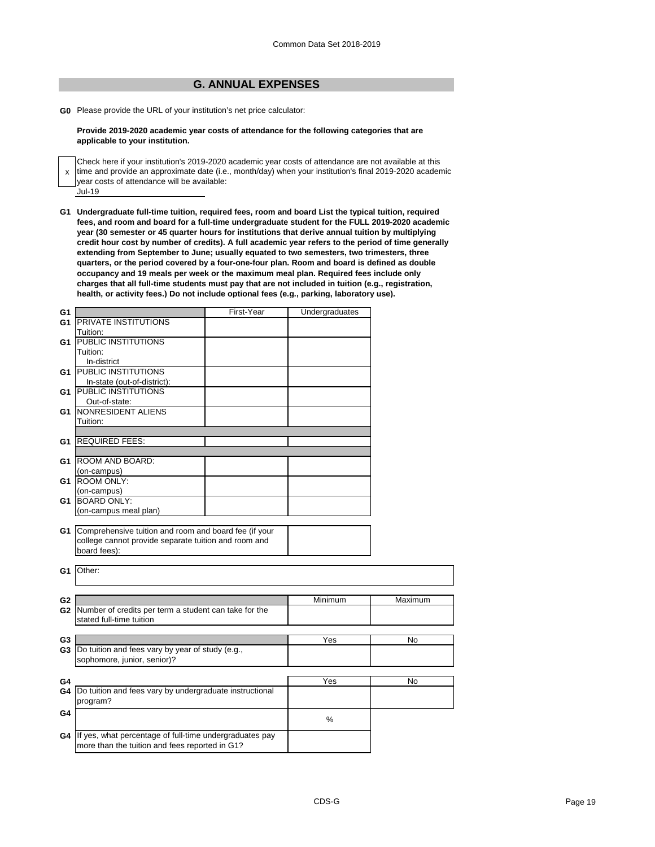## **G. ANNUAL EXPENSES**

**G0** Please provide the URL of your institution's net price calculator:

#### **Provide 2019-2020 academic year costs of attendance for the following categories that are applicable to your institution.**

| Check here if your institution's 2019-2020 academic year costs of attendance are not available at this<br>x time and provide an approximate date (i.e., month/day) when your institution's final 2019-2020 academic |
|---------------------------------------------------------------------------------------------------------------------------------------------------------------------------------------------------------------------|
| vear costs of attendance will be available:                                                                                                                                                                         |
| Jul-19                                                                                                                                                                                                              |

**G1 Undergraduate full-time tuition, required fees, room and board List the typical tuition, required fees, and room and board for a full-time undergraduate student for the FULL 2019-2020 academic year (30 semester or 45 quarter hours for institutions that derive annual tuition by multiplying credit hour cost by number of credits). A full academic year refers to the period of time generally extending from September to June; usually equated to two semesters, two trimesters, three quarters, or the period covered by a four-one-four plan. Room and board is defined as double occupancy and 19 meals per week or the maximum meal plan. Required fees include only charges that all full-time students must pay that are not included in tuition (e.g., registration, health, or activity fees.) Do not include optional fees (e.g., parking, laboratory use).**

| G1 |                                                            | First-Year | Undergraduates |         |
|----|------------------------------------------------------------|------------|----------------|---------|
| G1 | <b>PRIVATE INSTITUTIONS</b>                                |            |                |         |
|    | Tuition:                                                   |            |                |         |
| G1 | <b>PUBLIC INSTITUTIONS</b>                                 |            |                |         |
|    | Tuition:                                                   |            |                |         |
|    | In-district                                                |            |                |         |
| G1 | <b>PUBLIC INSTITUTIONS</b>                                 |            |                |         |
|    | In-state (out-of-district):                                |            |                |         |
| G1 | <b>PUBLIC INSTITUTIONS</b>                                 |            |                |         |
|    | Out-of-state:                                              |            |                |         |
| G1 | NONRESIDENT ALIENS                                         |            |                |         |
|    | Tuition:                                                   |            |                |         |
|    |                                                            |            |                |         |
| G1 | <b>REQUIRED FEES:</b>                                      |            |                |         |
|    |                                                            |            |                |         |
| G1 | <b>ROOM AND BOARD:</b>                                     |            |                |         |
|    | (on-campus)                                                |            |                |         |
| G1 | <b>ROOM ONLY:</b>                                          |            |                |         |
|    | (on-campus)                                                |            |                |         |
|    | G1 BOARD ONLY:                                             |            |                |         |
|    | (on-campus meal plan)                                      |            |                |         |
|    |                                                            |            |                |         |
|    | G1 Comprehensive tuition and room and board fee (if your   |            |                |         |
|    | college cannot provide separate tuition and room and       |            |                |         |
|    | board fees):                                               |            |                |         |
|    |                                                            |            |                |         |
| G1 | Other:                                                     |            |                |         |
|    |                                                            |            |                |         |
|    |                                                            |            |                |         |
| G2 |                                                            |            | Minimum        | Maximum |
|    | G2 Number of credits per term a student can take for the   |            |                |         |
|    | stated full-time tuition                                   |            |                |         |
|    |                                                            |            |                |         |
| G3 |                                                            |            | Yes            | No      |
| G3 | Do tuition and fees vary by year of study (e.g.,           |            |                |         |
|    | sophomore, junior, senior)?                                |            |                |         |
|    |                                                            |            |                |         |
| G4 |                                                            |            | Yes            | No      |
|    | G4 Do tuition and fees vary by undergraduate instructional |            |                |         |
|    | program?                                                   |            |                |         |
| G4 |                                                            |            | $\%$           |         |
|    |                                                            |            |                |         |
|    | G4 If yes, what percentage of full-time undergraduates pay |            |                |         |
|    | more than the tuition and fees reported in G1?             |            |                |         |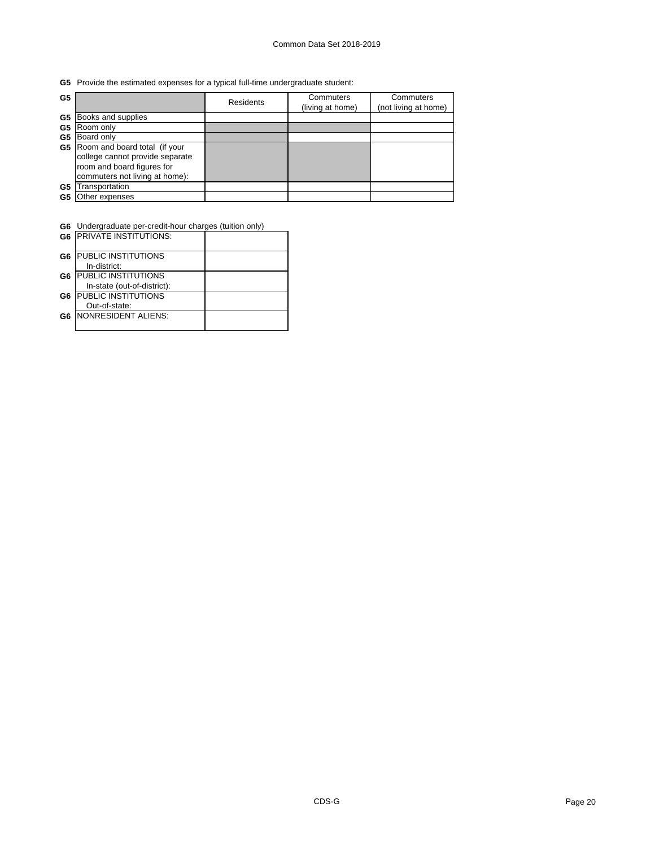## **G5** Provide the estimated expenses for a typical full-time undergraduate student:

| G <sub>5</sub> |                                                                                                                                  | <b>Residents</b> | Commuters<br>(living at home) | Commuters<br>(not living at home) |
|----------------|----------------------------------------------------------------------------------------------------------------------------------|------------------|-------------------------------|-----------------------------------|
| G5             | Books and supplies                                                                                                               |                  |                               |                                   |
| G5             | Room only                                                                                                                        |                  |                               |                                   |
| G5             | Board only                                                                                                                       |                  |                               |                                   |
| G5             | Room and board total (if your<br>college cannot provide separate<br>room and board figures for<br>commuters not living at home): |                  |                               |                                   |
| G5             | Transportation                                                                                                                   |                  |                               |                                   |
| G5             | Other expenses                                                                                                                   |                  |                               |                                   |

 $\overline{\phantom{a}}$ 

**G6** Undergraduate per-credit-hour charges (tuition only)

|                | <b>G6 IPRIVATE INSTITUTIONS:</b>           |  |
|----------------|--------------------------------------------|--|
| G <sub>6</sub> | <b>PUBLIC INSTITUTIONS</b>                 |  |
| G <sub>6</sub> | In-district:<br><b>PUBLIC INSTITUTIONS</b> |  |
|                | In-state (out-of-district):                |  |
| G <sub>6</sub> | <b>PUBLIC INSTITUTIONS</b>                 |  |
|                | Out-of-state:                              |  |
| G <sub>6</sub> | <b>INONRESIDENT ALIENS:</b>                |  |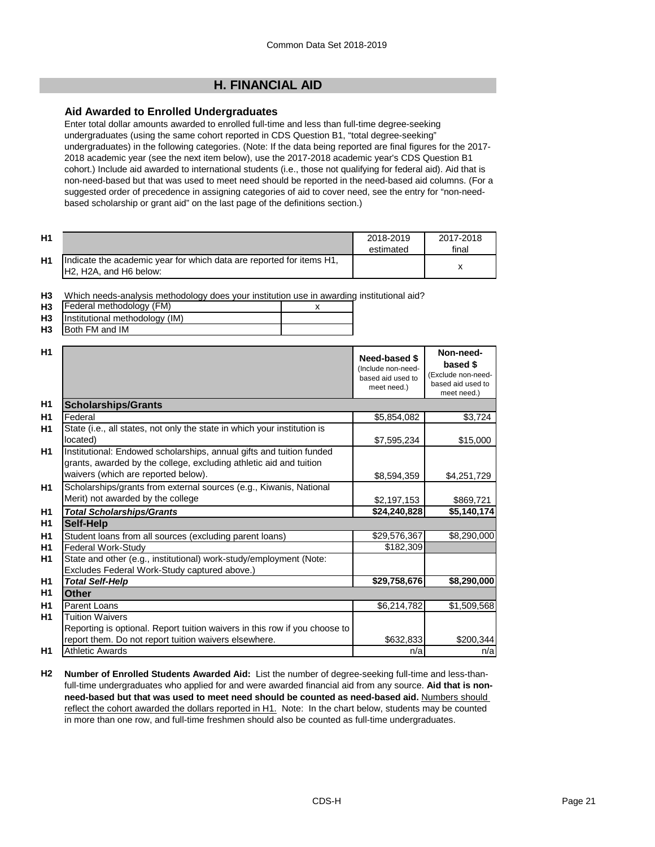# **H. FINANCIAL AID**

## **Aid Awarded to Enrolled Undergraduates**

Enter total dollar amounts awarded to enrolled full-time and less than full-time degree-seeking undergraduates (using the same cohort reported in CDS Question B1, "total degree-seeking" undergraduates) in the following categories. (Note: If the data being reported are final figures for the 2017- 2018 academic year (see the next item below), use the 2017-2018 academic year's CDS Question B1 cohort.) Include aid awarded to international students (i.e., those not qualifying for federal aid). Aid that is non-need-based but that was used to meet need should be reported in the need-based aid columns. (For a suggested order of precedence in assigning categories of aid to cover need, see the entry for "non-needbased scholarship or grant aid" on the last page of the definitions section.)

| H1 |                                                                                                 | 2018-2019<br>estimated | 2017-2018<br>final |
|----|-------------------------------------------------------------------------------------------------|------------------------|--------------------|
| H1 | Indicate the academic year for which data are reported for items H1,<br>IH2. H2A. and H6 below: |                        |                    |

**H3** Which needs-analysis methodology does your institution use in awarding institutional aid?

| H <sub>3</sub> | Federal methodology (FM)       |  |
|----------------|--------------------------------|--|
| <b>H3</b>      | Institutional methodology (IM) |  |
| H <sub>3</sub> | Both FM and IM                 |  |

|                                                                                                                                                                                   | Need-based \$<br>(Include non-need-<br>based aid used to<br>meet need.) | Non-need-<br>based \$<br>(Exclude non-need-<br>based aid used to<br>meet need.) |
|-----------------------------------------------------------------------------------------------------------------------------------------------------------------------------------|-------------------------------------------------------------------------|---------------------------------------------------------------------------------|
| <b>Scholarships/Grants</b>                                                                                                                                                        |                                                                         |                                                                                 |
| Federal                                                                                                                                                                           | \$5,854,082                                                             | \$3,724                                                                         |
| State (i.e., all states, not only the state in which your institution is<br>located)                                                                                              | \$7,595,234                                                             | \$15,000                                                                        |
| Institutional: Endowed scholarships, annual gifts and tuition funded<br>grants, awarded by the college, excluding athletic aid and tuition<br>waivers (which are reported below). | \$8,594,359                                                             | \$4,251,729                                                                     |
| Scholarships/grants from external sources (e.g., Kiwanis, National<br>Merit) not awarded by the college                                                                           | \$2,197,153                                                             | \$869,721                                                                       |
| <b>Total Scholarships/Grants</b>                                                                                                                                                  | \$24,240,828                                                            | \$5,140,174                                                                     |
| Self-Help                                                                                                                                                                         |                                                                         |                                                                                 |
| Student loans from all sources (excluding parent loans)                                                                                                                           | \$29,576,367                                                            | \$8,290,000                                                                     |
| Federal Work-Study                                                                                                                                                                | \$182,309                                                               |                                                                                 |
| State and other (e.g., institutional) work-study/employment (Note:<br>Excludes Federal Work-Study captured above.)                                                                |                                                                         |                                                                                 |
| <b>Total Self-Help</b>                                                                                                                                                            | \$29,758,676                                                            | \$8,290,000                                                                     |
| Other                                                                                                                                                                             |                                                                         |                                                                                 |
| Parent Loans                                                                                                                                                                      | \$6,214,782                                                             | \$1,509,568                                                                     |
| <b>Tuition Waivers</b><br>Reporting is optional. Report tuition waivers in this row if you choose to                                                                              |                                                                         |                                                                                 |
| report them. Do not report tuition waivers elsewhere.<br><b>Athletic Awards</b>                                                                                                   | \$632,833                                                               | \$200,344                                                                       |
|                                                                                                                                                                                   | n/a                                                                     | n/a                                                                             |

**H2 Number of Enrolled Students Awarded Aid:** List the number of degree-seeking full-time and less-thanfull-time undergraduates who applied for and were awarded financial aid from any source. **Aid that is nonneed-based but that was used to meet need should be counted as need-based aid.** Numbers should reflect the cohort awarded the dollars reported in H1. Note: In the chart below, students may be counted in more than one row, and full-time freshmen should also be counted as full-time undergraduates.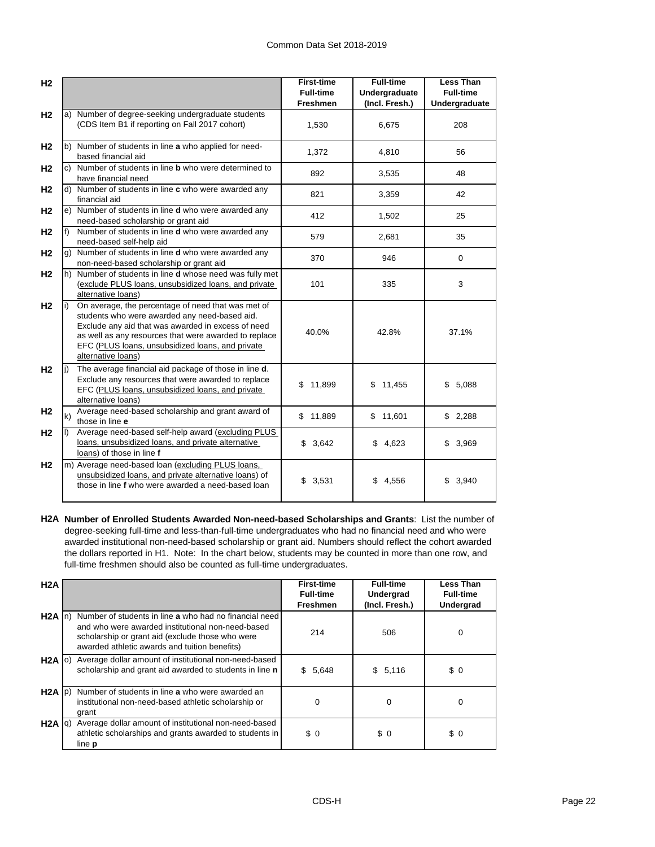| H <sub>2</sub> |    |                                                                                                                                                                                                                                                                                              | <b>First-time</b><br><b>Full-time</b> | <b>Full-time</b><br><b>Undergraduate</b> | <b>Less Than</b><br><b>Full-time</b> |
|----------------|----|----------------------------------------------------------------------------------------------------------------------------------------------------------------------------------------------------------------------------------------------------------------------------------------------|---------------------------------------|------------------------------------------|--------------------------------------|
|                |    |                                                                                                                                                                                                                                                                                              | <b>Freshmen</b>                       | (Incl. Fresh.)                           | Undergraduate                        |
| H <sub>2</sub> |    | a) Number of degree-seeking undergraduate students<br>(CDS Item B1 if reporting on Fall 2017 cohort)                                                                                                                                                                                         | 1,530                                 | 6,675                                    | 208                                  |
| H <sub>2</sub> |    | b) Number of students in line a who applied for need-<br>based financial aid                                                                                                                                                                                                                 | 1,372                                 | 4,810                                    | 56                                   |
| H <sub>2</sub> |    | c) Number of students in line <b>b</b> who were determined to<br>have financial need                                                                                                                                                                                                         | 892                                   | 3,535                                    | 48                                   |
| H <sub>2</sub> |    | d) Number of students in line c who were awarded any<br>financial aid                                                                                                                                                                                                                        | 821                                   | 3,359                                    | 42                                   |
| H <sub>2</sub> |    | e) Number of students in line d who were awarded any<br>need-based scholarship or grant aid                                                                                                                                                                                                  | 412                                   | 1,502                                    | 25                                   |
| H <sub>2</sub> | f) | Number of students in line d who were awarded any<br>need-based self-help aid                                                                                                                                                                                                                | 579                                   | 2,681                                    | 35                                   |
| H <sub>2</sub> |    | g) Number of students in line d who were awarded any<br>non-need-based scholarship or grant aid                                                                                                                                                                                              | 370                                   | 946                                      | $\mathbf 0$                          |
| H <sub>2</sub> |    | h) Number of students in line <b>d</b> whose need was fully met<br>(exclude PLUS loans, unsubsidized loans, and private<br>alternative loans)                                                                                                                                                | 101                                   | 335                                      | 3                                    |
| H <sub>2</sub> |    | On average, the percentage of need that was met of<br>students who were awarded any need-based aid.<br>Exclude any aid that was awarded in excess of need<br>as well as any resources that were awarded to replace<br>EFC (PLUS loans, unsubsidized loans, and private<br>alternative loans) | 40.0%                                 | 42.8%                                    | 37.1%                                |
| H <sub>2</sub> |    | The average financial aid package of those in line d.<br>Exclude any resources that were awarded to replace<br>EFC (PLUS loans, unsubsidized loans, and private<br>alternative loans)                                                                                                        | \$11,899                              | \$11,455                                 | 5,088<br>\$                          |
| H <sub>2</sub> | k) | Average need-based scholarship and grant award of<br>those in line e                                                                                                                                                                                                                         | \$11,889                              | \$11,601                                 | \$2,288                              |
| H <sub>2</sub> |    | Average need-based self-help award (excluding PLUS<br>loans, unsubsidized loans, and private alternative<br>loans) of those in line f                                                                                                                                                        | \$3,642                               | \$<br>4,623                              | \$3,969                              |
| H <sub>2</sub> |    | m) Average need-based loan (excluding PLUS loans,<br>unsubsidized loans, and private alternative loans) of<br>those in line f who were awarded a need-based loan                                                                                                                             | \$<br>3,531                           | \$<br>4,556                              | 3,940<br>\$                          |

**H2A Number of Enrolled Students Awarded Non-need-based Scholarships and Grants**: List the number of degree-seeking full-time and less-than-full-time undergraduates who had no financial need and who were awarded institutional non-need-based scholarship or grant aid. Numbers should reflect the cohort awarded the dollars reported in H1. Note: In the chart below, students may be counted in more than one row, and full-time freshmen should also be counted as full-time undergraduates.

| H2A               |                                                                                                                                                                                                                                       | <b>First-time</b><br><b>Full-time</b><br><b>Freshmen</b> | <b>Full-time</b><br>Undergrad<br>(Incl. Fresh.) | <b>Less Than</b><br><b>Full-time</b><br><b>Undergrad</b> |
|-------------------|---------------------------------------------------------------------------------------------------------------------------------------------------------------------------------------------------------------------------------------|----------------------------------------------------------|-------------------------------------------------|----------------------------------------------------------|
|                   | H <sub>2</sub> A In) Number of students in line a who had no financial need<br>and who were awarded institutional non-need-based<br>scholarship or grant aid (exclude those who were<br>awarded athletic awards and tuition benefits) | 214                                                      | 506                                             | 0                                                        |
|                   | H2A  o) Average dollar amount of institutional non-need-based<br>scholarship and grant aid awarded to students in line n                                                                                                              | 5,648<br>\$.                                             | \$5,116                                         | \$0                                                      |
| $H2A$ $ p\rangle$ | Number of students in line a who were awarded an<br>institutional non-need-based athletic scholarship or<br>grant                                                                                                                     | 0                                                        | $\mathbf 0$                                     | 0                                                        |
| $H2A$ $ q\rangle$ | Average dollar amount of institutional non-need-based<br>athletic scholarships and grants awarded to students in<br>line <b>p</b>                                                                                                     | \$0                                                      | \$0                                             | \$0                                                      |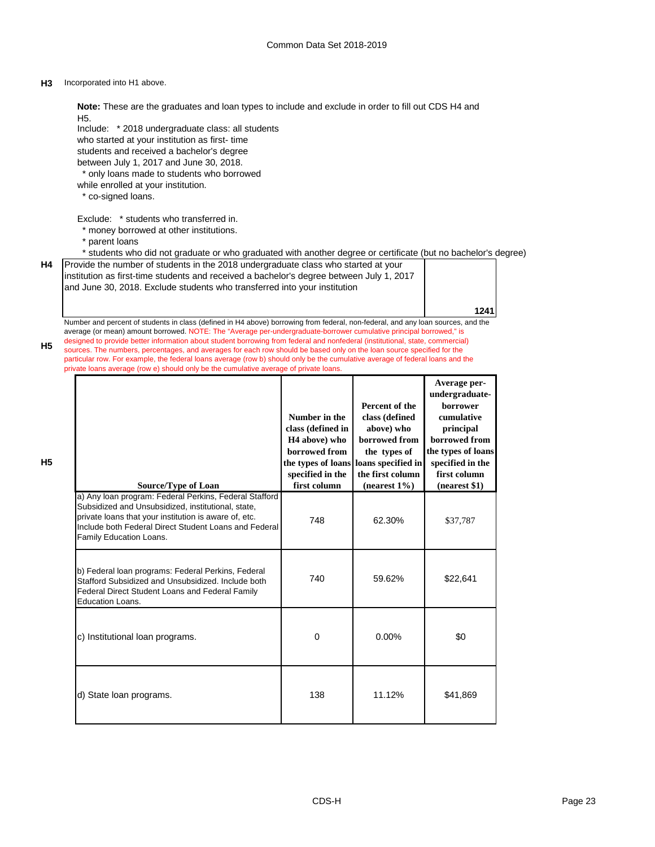## **H3** Incorporated into H1 above.

**H4**

**H5**

**H5**

| Note: These are the graduates and loan types to include and exclude in order to fill out CDS H4 and<br>H <sub>5</sub> .<br>Include: * 2018 undergraduate class: all students<br>who started at your institution as first-time<br>students and received a bachelor's degree<br>between July 1, 2017 and June 30, 2018.<br>* only loans made to students who borrowed<br>while enrolled at your institution.<br>* co-signed loans.                                                                                                                                                                                                                                                                                                             |                                                                                                                                            |                                                                                                                                               |                                                                                                                                                                   |  |
|----------------------------------------------------------------------------------------------------------------------------------------------------------------------------------------------------------------------------------------------------------------------------------------------------------------------------------------------------------------------------------------------------------------------------------------------------------------------------------------------------------------------------------------------------------------------------------------------------------------------------------------------------------------------------------------------------------------------------------------------|--------------------------------------------------------------------------------------------------------------------------------------------|-----------------------------------------------------------------------------------------------------------------------------------------------|-------------------------------------------------------------------------------------------------------------------------------------------------------------------|--|
| Exclude: * students who transferred in.<br>* money borrowed at other institutions.<br>* parent loans<br>* students who did not graduate or who graduated with another degree or certificate (but no bachelor's degree)                                                                                                                                                                                                                                                                                                                                                                                                                                                                                                                       |                                                                                                                                            |                                                                                                                                               |                                                                                                                                                                   |  |
| Provide the number of students in the 2018 undergraduate class who started at your<br>institution as first-time students and received a bachelor's degree between July 1, 2017<br>and June 30, 2018. Exclude students who transferred into your institution                                                                                                                                                                                                                                                                                                                                                                                                                                                                                  |                                                                                                                                            |                                                                                                                                               | 1241                                                                                                                                                              |  |
| Number and percent of students in class (defined in H4 above) borrowing from federal, non-federal, and any loan sources, and the<br>average (or mean) amount borrowed. NOTE: The "Average per-undergraduate-borrower cumulative principal borrowed," is<br>designed to provide better information about student borrowing from federal and nonfederal (institutional, state, commercial)<br>sources. The numbers, percentages, and averages for each row should be based only on the loan source specified for the<br>particular row. For example, the federal loans average (row b) should only be the cumulative average of federal loans and the<br>private loans average (row e) should only be the cumulative average of private loans. |                                                                                                                                            |                                                                                                                                               |                                                                                                                                                                   |  |
| <b>Source/Type of Loan</b>                                                                                                                                                                                                                                                                                                                                                                                                                                                                                                                                                                                                                                                                                                                   | Number in the<br>class (defined in<br>H <sub>4</sub> above) who<br>borrowed from<br>the types of loans<br>specified in the<br>first column | Percent of the<br>class (defined<br>above) who<br>borrowed from<br>the types of<br>loans specified in<br>the first column<br>(nearest $1\%$ ) | Average per-<br>undergraduate-<br>borrower<br>cumulative<br>principal<br>borrowed from<br>the types of loans<br>specified in the<br>first column<br>(nearest \$1) |  |
| a) Any loan program: Federal Perkins, Federal Stafford<br>Subsidized and Unsubsidized, institutional, state,<br>private loans that your institution is aware of, etc.<br>Include both Federal Direct Student Loans and Federal<br>Family Education Loans.                                                                                                                                                                                                                                                                                                                                                                                                                                                                                    | 748                                                                                                                                        | 62.30%                                                                                                                                        | \$37,787                                                                                                                                                          |  |
| b) Federal loan programs: Federal Perkins, Federal<br>Stafford Subsidized and Unsubsidized. Include both<br>Federal Direct Student Loans and Federal Family<br><b>Education Loans.</b>                                                                                                                                                                                                                                                                                                                                                                                                                                                                                                                                                       | 740                                                                                                                                        | 59.62%                                                                                                                                        | \$22,641                                                                                                                                                          |  |
| c) Institutional loan programs.                                                                                                                                                                                                                                                                                                                                                                                                                                                                                                                                                                                                                                                                                                              | 0                                                                                                                                          | 0.00%                                                                                                                                         | \$0                                                                                                                                                               |  |
| d) State loan programs.                                                                                                                                                                                                                                                                                                                                                                                                                                                                                                                                                                                                                                                                                                                      | 138                                                                                                                                        | 11.12%                                                                                                                                        | \$41,869                                                                                                                                                          |  |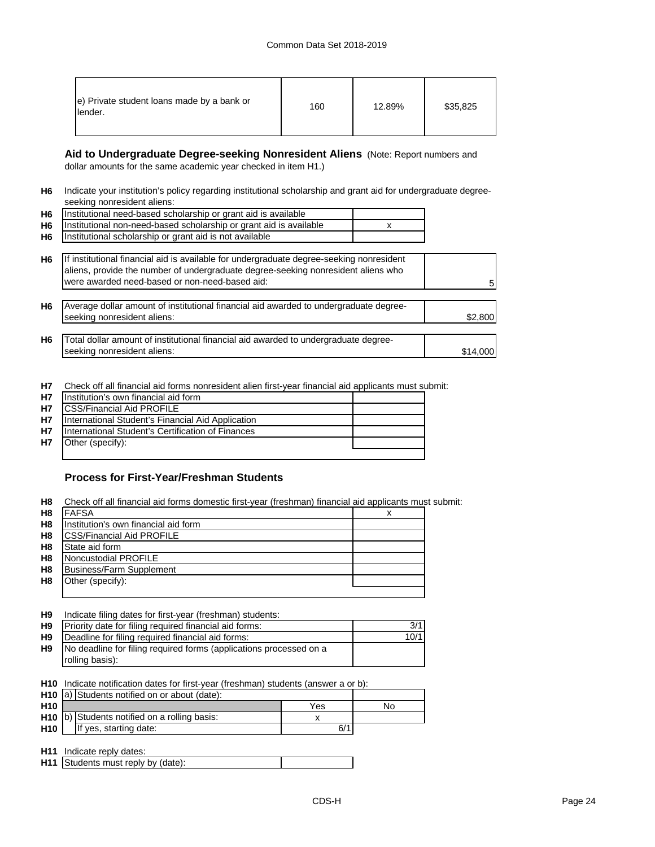| e) Private student loans made by a bank or<br>lender. | 160 | 12.89% | \$35,825 |
|-------------------------------------------------------|-----|--------|----------|
|-------------------------------------------------------|-----|--------|----------|

**Aid to Undergraduate Degree-seeking Nonresident Aliens** (Note: Report numbers and dollar amounts for the same academic year checked in item H1.)

**H6** Indicate your institution's policy regarding institutional scholarship and grant aid for undergraduate degreeseeking nonresident aliens:

| H6 Institutional need-based scholarship or grant aid is available     |  |
|-----------------------------------------------------------------------|--|
| H6 Institutional non-need-based scholarship or grant aid is available |  |
| H6 Institutional scholarship or grant aid is not available            |  |

| H6             | If institutional financial aid is available for undergraduate degree-seeking nonresident<br>aliens, provide the number of undergraduate degree-seeking nonresident aliens who<br>were awarded need-based or non-need-based aid: | 5        |
|----------------|---------------------------------------------------------------------------------------------------------------------------------------------------------------------------------------------------------------------------------|----------|
| H <sub>6</sub> | Average dollar amount of institutional financial aid awarded to undergraduate degree-<br>seeking nonresident aliens:                                                                                                            | \$2,800  |
| H <sub>6</sub> | Total dollar amount of institutional financial aid awarded to undergraduate degree-<br>seeking nonresident aliens:                                                                                                              | \$14,000 |

**H7** Check off all financial aid forms nonresident alien first-year financial aid applicants must submit:

| H7        | Institution's own financial aid form              |  |
|-----------|---------------------------------------------------|--|
| <b>H7</b> | <b>CSS/Financial Aid PROFILE</b>                  |  |
| <b>H7</b> | International Student's Financial Aid Application |  |
| <b>H7</b> | International Student's Certification of Finances |  |
| H7        | Other (specify):                                  |  |
|           |                                                   |  |

## **Process for First-Year/Freshman Students**

**H8** Check off all financial aid forms domestic first-year (freshman) financial aid applicants must submit:

| H <sub>8</sub> | <b>FAFSA</b>                         | х |
|----------------|--------------------------------------|---|
| H <sub>8</sub> | Institution's own financial aid form |   |
| H <sub>8</sub> | <b>CSS/Financial Aid PROFILE</b>     |   |
| H <sub>8</sub> | State aid form                       |   |
| H <sub>8</sub> | Noncustodial PROFILE                 |   |
| H <sub>8</sub> | Business/Farm Supplement             |   |
| H <sub>8</sub> | Other (specify):                     |   |
|                |                                      |   |

| H <sub>9</sub> | Indicate filing dates for first-year (freshman) students:          |      |
|----------------|--------------------------------------------------------------------|------|
| H <sub>9</sub> | Priority date for filing required financial aid forms:             |      |
| H9             | Deadline for filing required financial aid forms:                  | 10/1 |
| H9             | No deadline for filing required forms (applications processed on a |      |
|                | rolling basis):                                                    |      |

**H10** Indicate notification dates for first-year (freshman) students (answer a or b):

|                 | H10 a) Students notified on or about (date):             |     |    |
|-----------------|----------------------------------------------------------|-----|----|
| H <sub>10</sub> |                                                          | Yes | N٥ |
|                 | H <sub>10</sub> b) Students notified on a rolling basis: |     |    |
| H <sub>10</sub> | If yes, starting date:                                   | 6/1 |    |

**H11** Indicate reply dates:

| <b>H11</b> Students must reply by (date): |  |
|-------------------------------------------|--|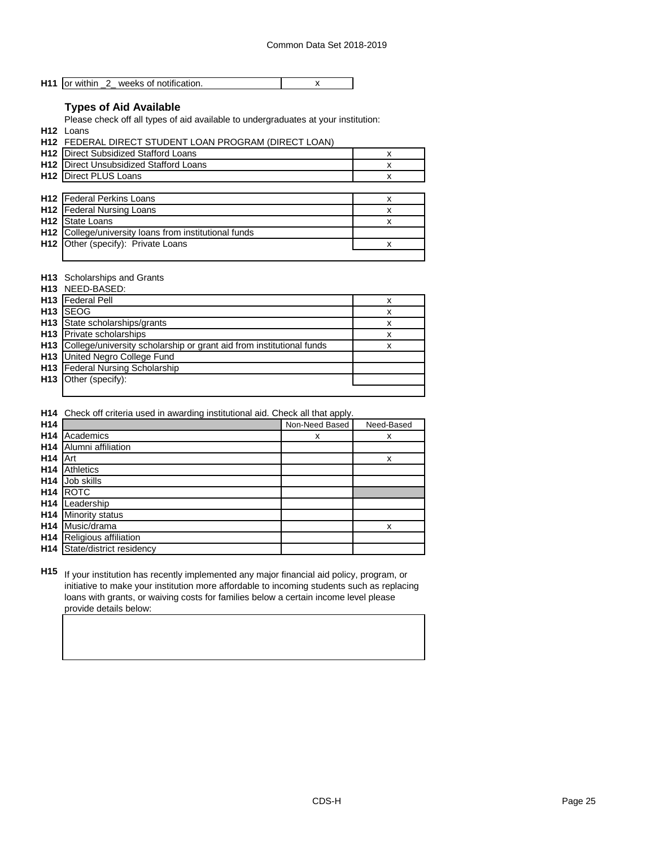|--|

## **Types of Aid Available**

Please check off all types of aid available to undergraduates at your institution:

**H12** Loans

| <b>H12 FEDERAL DIRECT STUDENT LOAN PROGRAM (DIRECT LOAN)</b> |   |
|--------------------------------------------------------------|---|
| <b>H12</b> Direct Subsidized Stafford Loans                  | x |
| <b>H12</b> Direct Unsubsidized Stafford Loans                | х |
| <b>H12</b> Direct PLUS Loans                                 | х |
|                                                              |   |
| H12 Federal Perkins Loans                                    | x |
| <b>H12</b> Federal Nursing Loans                             | х |
| <b>H12</b> State Loans                                       | x |
| H12 College/university loans from institutional funds        |   |
| H12 Other (specify): Private Loans                           |   |
|                                                              |   |

## **H13** Scholarships and Grants

|                 | <b>H13</b> NEED-BASED:                                                   |   |
|-----------------|--------------------------------------------------------------------------|---|
|                 | H13 Federal Pell                                                         | х |
| H <sub>13</sub> | <b>ISEOG</b>                                                             | x |
|                 | H <sub>13</sub> State scholarships/grants                                | x |
|                 | <b>H13</b> Private scholarships                                          | x |
|                 | H13 College/university scholarship or grant aid from institutional funds | x |
|                 | H13 United Negro College Fund                                            |   |
|                 | H13 Federal Nursing Scholarship                                          |   |
|                 | H <sub>13</sub>   Other (specify):                                       |   |
|                 |                                                                          |   |

## **H14** Check off criteria used in awarding institutional aid. Check all that apply.

| H <sub>14</sub> |                          | Non-Need Based | Need-Based |
|-----------------|--------------------------|----------------|------------|
| H <sub>14</sub> | Academics                | x              | x          |
| H <sub>14</sub> | Alumni affiliation       |                |            |
| H <sub>14</sub> | Art                      |                | x          |
| H <sub>14</sub> | Athletics                |                |            |
| H <sub>14</sub> | Job skills               |                |            |
| H <sub>14</sub> | <b>ROTC</b>              |                |            |
| H <sub>14</sub> | Leadership               |                |            |
| H <sub>14</sub> | Minority status          |                |            |
| H <sub>14</sub> | Music/drama              |                | x          |
| H <sub>14</sub> | Religious affiliation    |                |            |
| H <sub>14</sub> | State/district residency |                |            |

**H15** If your institution has recently implemented any major financial aid policy, program, or initiative to make your institution more affordable to incoming students such as replacing loans with grants, or waiving costs for families below a certain income level please provide details below: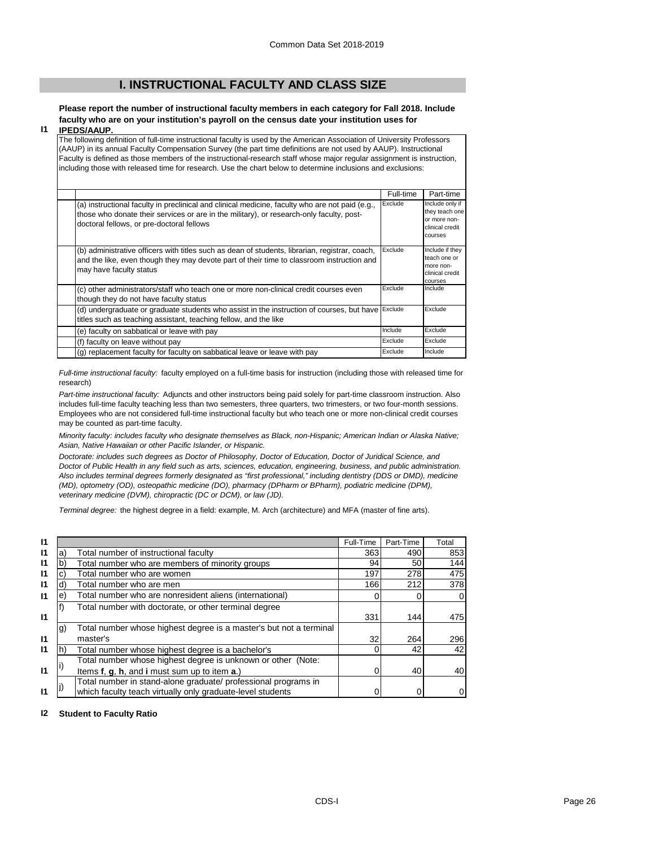## **I. INSTRUCTIONAL FACULTY AND CLASS SIZE**

# **Please report the number of instructional faculty members in each category for Fall 2018. Include faculty who are on your institution's payroll on the census date your institution uses for**

#### **I1 IPEDS/AAUP.**

The following definition of full-time instructional faculty is used by the American Association of University Professors (AAUP) in its annual Faculty Compensation Survey (the part time definitions are not used by AAUP). Instructional Faculty is defined as those members of the instructional-research staff whose major regular assignment is instruction, including those with released time for research. Use the chart below to determine inclusions and exclusions:

|                                                                                                                                                                                                                                          | Full-time | Part-time                                                                       |
|------------------------------------------------------------------------------------------------------------------------------------------------------------------------------------------------------------------------------------------|-----------|---------------------------------------------------------------------------------|
| (a) instructional faculty in preclinical and clinical medicine, faculty who are not paid (e.g.,<br>those who donate their services or are in the military), or research-only faculty, post-<br>doctoral fellows, or pre-doctoral fellows | Exclude   | Include only if<br>they teach one<br>or more non-<br>clinical credit<br>courses |
| (b) administrative officers with titles such as dean of students, librarian, registrar, coach,<br>and the like, even though they may devote part of their time to classroom instruction and<br>may have faculty status                   | Exclude   | Include if they<br>teach one or<br>more non-<br>clinical credit<br>courses      |
| (c) other administrators/staff who teach one or more non-clinical credit courses even<br>though they do not have faculty status                                                                                                          | Exclude   | Include                                                                         |
| (d) undergraduate or graduate students who assist in the instruction of courses, but have<br>titles such as teaching assistant, teaching fellow, and the like                                                                            | Exclude   | Exclude                                                                         |
| (e) faculty on sabbatical or leave with pay                                                                                                                                                                                              | Include   | Exclude                                                                         |
| (f) faculty on leave without pay                                                                                                                                                                                                         | Exclude   | Exclude                                                                         |
| (g) replacement faculty for faculty on sabbatical leave or leave with pay                                                                                                                                                                | Exclude   | Include                                                                         |

*Full-time instructional faculty:* faculty employed on a full-time basis for instruction (including those with released time for research)

*Part-time instructional faculty:* Adjuncts and other instructors being paid solely for part-time classroom instruction. Also includes full-time faculty teaching less than two semesters, three quarters, two trimesters, or two four-month sessions. Employees who are not considered full-time instructional faculty but who teach one or more non-clinical credit courses may be counted as part-time faculty.

*Minority faculty: includes faculty who designate themselves as Black, non-Hispanic; American Indian or Alaska Native; Asian, Native Hawaiian or other Pacific Islander, or Hispanic.* 

*Doctorate: includes such degrees as Doctor of Philosophy, Doctor of Education, Doctor of Juridical Science, and Doctor of Public Health in any field such as arts, sciences, education, engineering, business, and public administration. Also includes terminal degrees formerly designated as "first professional," including dentistry (DDS or DMD), medicine (MD), optometry (OD), osteopathic medicine (DO), pharmacy (DPharm or BPharm), podiatric medicine (DPM), veterinary medicine (DVM), chiropractic (DC or DCM), or law (JD).*

*Terminal degree:* the highest degree in a field: example, M. Arch (architecture) and MFA (master of fine arts).

| $\mathsf{I}$ |                 |                                                                    | Full-Time | Part-Time | Total |
|--------------|-----------------|--------------------------------------------------------------------|-----------|-----------|-------|
| $\mathsf{I}$ | a)              | Total number of instructional faculty                              | 363       | 490       | 853   |
| $\mathbf{I}$ | b               | Total number who are members of minority groups                    | 94        | 50        | 144   |
| $\mathbf{I}$ | C)              | Total number who are women                                         | 197       | 278       | 475   |
| $\mathbf{I}$ | d)              | Total number who are men                                           | 166       | 212       | 378   |
| $\mathbf{I}$ | $\vert e \vert$ | Total number who are nonresident aliens (international)            |           | 0         |       |
|              |                 | Total number with doctorate, or other terminal degree              |           |           |       |
| $\mathbf{I}$ |                 |                                                                    | 331       | 144       | 475   |
|              | g)              | Total number whose highest degree is a master's but not a terminal |           |           |       |
| $\mathsf{I}$ |                 | master's                                                           | 32        | 264       | 296   |
| $\mathbf{I}$ |                 | Total number whose highest degree is a bachelor's                  |           | 42        | 42    |
|              |                 | Total number whose highest degree is unknown or other (Note:       |           |           |       |
| $\mathbf{I}$ |                 | Items f, g, h, and i must sum up to item a.)                       |           | 40        | 40    |
|              |                 | Total number in stand-alone graduate/ professional programs in     |           |           |       |
| $\mathbf{I}$ |                 | which faculty teach virtually only graduate-level students         |           | 0         |       |

## **I2 Student to Faculty Ratio**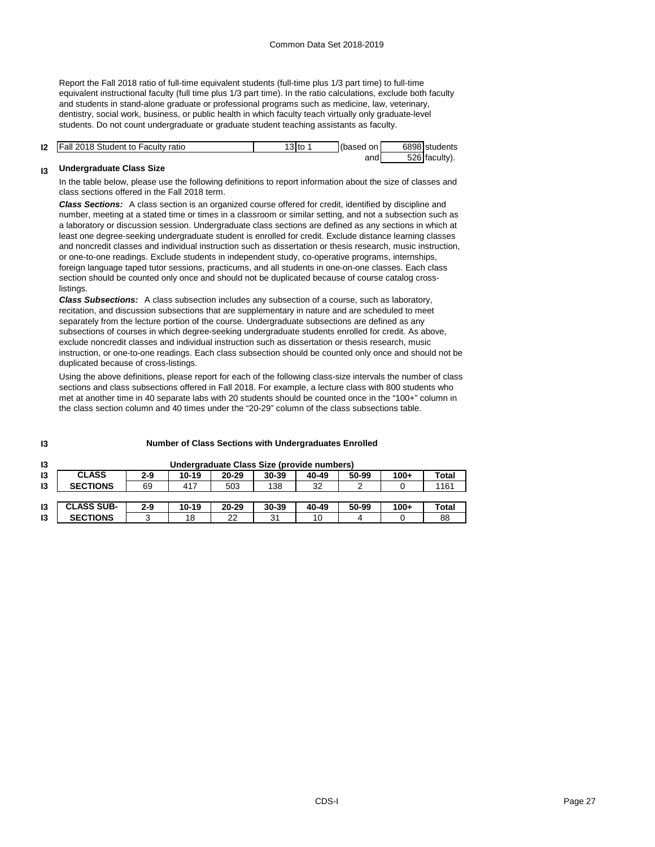Report the Fall 2018 ratio of full-time equivalent students (full-time plus 1/3 part time) to full-time equivalent instructional faculty (full time plus 1/3 part time). In the ratio calculations, exclude both faculty and students in stand-alone graduate or professional programs such as medicine, law, veterinary, dentistry, social work, business, or public health in which faculty teach virtually only graduate-level students. Do not count undergraduate or graduate student teaching assistants as faculty.

| <b>12</b>   Fall 2018 Student to Faculty ratio | 13 to | (based on | 6898 students |
|------------------------------------------------|-------|-----------|---------------|
|                                                |       | andl      | 526 faculty). |

#### **I3 Undergraduate Class Size**

**I3**

In the table below, please use the following definitions to report information about the size of classes and class sections offered in the Fall 2018 term.

*Class Sections:* A class section is an organized course offered for credit, identified by discipline and number, meeting at a stated time or times in a classroom or similar setting, and not a subsection such as a laboratory or discussion session. Undergraduate class sections are defined as any sections in which at least one degree-seeking undergraduate student is enrolled for credit. Exclude distance learning classes and noncredit classes and individual instruction such as dissertation or thesis research, music instruction, or one-to-one readings. Exclude students in independent study, co-operative programs, internships, foreign language taped tutor sessions, practicums, and all students in one-on-one classes. Each class section should be counted only once and should not be duplicated because of course catalog crosslistings.

*Class Subsections:* A class subsection includes any subsection of a course, such as laboratory, recitation, and discussion subsections that are supplementary in nature and are scheduled to meet separately from the lecture portion of the course. Undergraduate subsections are defined as any subsections of courses in which degree-seeking undergraduate students enrolled for credit. As above, exclude noncredit classes and individual instruction such as dissertation or thesis research, music instruction, or one-to-one readings. Each class subsection should be counted only once and should not be duplicated because of cross-listings.

Using the above definitions, please report for each of the following class-size intervals the number of class sections and class subsections offered in Fall 2018. For example, a lecture class with 800 students who met at another time in 40 separate labs with 20 students should be counted once in the "100+" column in the class section column and 40 times under the "20-29" column of the class subsections table.

| 13 |                   |         |           |           | Undergraduate Class Size (provide numbers) |       |       |        |              |
|----|-------------------|---------|-----------|-----------|--------------------------------------------|-------|-------|--------|--------------|
| 13 | <b>CLASS</b>      | $2 - 9$ | $10 - 19$ | $20 - 29$ | 30-39                                      | 40-49 | 50-99 | $100+$ | <b>Total</b> |
| 13 | <b>SECTIONS</b>   | 69      | 417       | 503       | 138                                        | 32    | ົ     |        | 1161         |
|    |                   |         |           |           |                                            |       |       |        |              |
| 13 | <b>CLASS SUB-</b> | $2 - 9$ | $10 - 19$ | $20 - 29$ | 30-39                                      | 40-49 | 50-99 | $100+$ | <b>Total</b> |
| 13 | <b>SECTIONS</b>   | ว       | 18        | 22        | 31                                         | 10    | 4     |        | 88           |

#### **Number of Class Sections with Undergraduates Enrolled**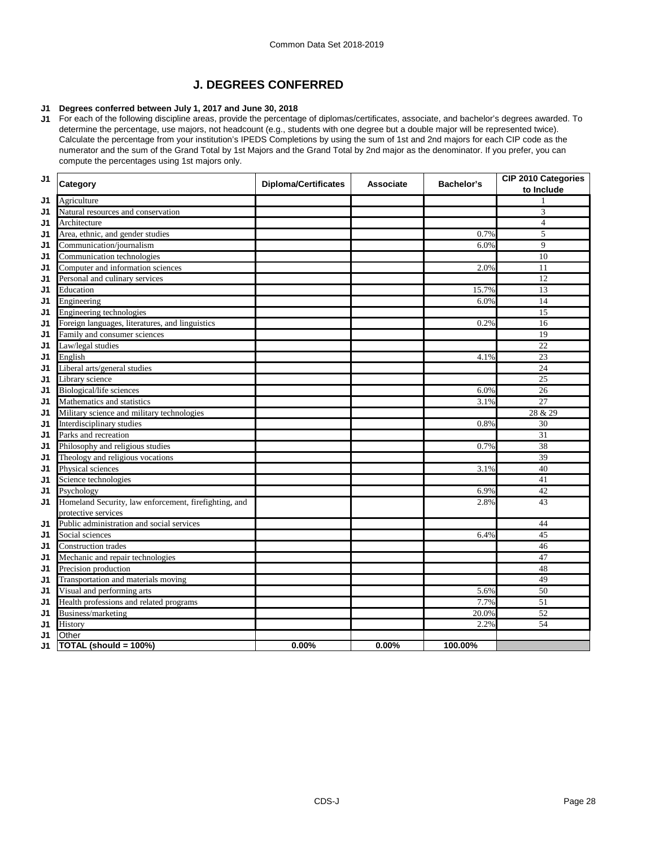# **J. DEGREES CONFERRED**

#### **J1 Degrees conferred between July 1, 2017 and June 30, 2018**

**J1** For each of the following discipline areas, provide the percentage of diplomas/certificates, associate, and bachelor's degrees awarded. To determine the percentage, use majors, not headcount (e.g., students with one degree but a double major will be represented twice). Calculate the percentage from your institution's IPEDS Completions by using the sum of 1st and 2nd majors for each CIP code as the numerator and the sum of the Grand Total by 1st Majors and the Grand Total by 2nd major as the denominator. If you prefer, you can compute the percentages using 1st majors only.

| J <sub>1</sub> | Category                                                     | <b>Diploma/Certificates</b> | <b>Associate</b> | Bachelor's | CIP 2010 Categories<br>to Include |
|----------------|--------------------------------------------------------------|-----------------------------|------------------|------------|-----------------------------------|
| J1             | Agriculture                                                  |                             |                  |            |                                   |
| J1             | Natural resources and conservation                           |                             |                  |            | 3                                 |
| J1             | Architecture                                                 |                             |                  |            | $\overline{4}$                    |
| J1             | Area, ethnic, and gender studies                             |                             |                  | 0.7%       | 5                                 |
| J1             | Communication/journalism                                     |                             |                  | 6.0%       | 9                                 |
| J <sub>1</sub> | Communication technologies                                   |                             |                  |            | 10                                |
| J1             | Computer and information sciences                            |                             |                  | 2.0%       | 11                                |
| J1             | Personal and culinary services                               |                             |                  |            | 12                                |
| J1             | Education                                                    |                             |                  | 15.7%      | 13                                |
| J1             | Engineering                                                  |                             |                  | 6.0%       | 14                                |
| J1             | Engineering technologies                                     |                             |                  |            | $\overline{15}$                   |
| J1             | Foreign languages, literatures, and linguistics              |                             |                  | 0.2%       | 16                                |
| J1             | Family and consumer sciences                                 |                             |                  |            | 19                                |
| J1             | Law/legal studies                                            |                             |                  |            | 22                                |
| J1             | English                                                      |                             |                  | 4.1%       | 23                                |
| J1             | Liberal arts/general studies                                 |                             |                  |            | 24                                |
| J1             | Library science                                              |                             |                  |            | $25\,$                            |
| J1             | Biological/life sciences                                     |                             |                  | 6.0%       | 26                                |
| J1             | Mathematics and statistics                                   |                             |                  | 3.1%       | $\overline{27}$                   |
| J1             | Military science and military technologies                   |                             |                  |            | 28 & 29                           |
| J1             | Interdisciplinary studies                                    |                             |                  | 0.8%       | 30                                |
| J1             | Parks and recreation                                         |                             |                  |            | 31                                |
| J1             | Philosophy and religious studies                             |                             |                  | 0.7%       | 38                                |
| J1             | Theology and religious vocations                             |                             |                  |            | 39                                |
| J1             | Physical sciences                                            |                             |                  | 3.1%       | 40                                |
| J <sub>1</sub> | Science technologies                                         |                             |                  |            | 41                                |
| J1             | Psychology                                                   |                             |                  | 6.9%       | 42                                |
| J1             | Homeland Security, law enforcement, firefighting, and        |                             |                  | 2.8%       | 43                                |
|                | protective services                                          |                             |                  |            | 44                                |
| J1<br>J1       | Public administration and social services<br>Social sciences |                             |                  | 6.4%       | 45                                |
| J1             | <b>Construction trades</b>                                   |                             |                  |            | 46                                |
| J1             | Mechanic and repair technologies                             |                             |                  |            | 47                                |
| J1             | Precision production                                         |                             |                  |            | 48                                |
| J1             | Transportation and materials moving                          |                             |                  |            | 49                                |
| J1             | Visual and performing arts                                   |                             |                  | 5.6%       | 50                                |
| J1             | Health professions and related programs                      |                             |                  | 7.7%       | 51                                |
| J1             | Business/marketing                                           |                             |                  | 20.0%      | $\overline{52}$                   |
| J1             | History                                                      |                             |                  | 2.2%       | 54                                |
| J1             | Other                                                        |                             |                  |            |                                   |
| J1             | TOTAL (should = 100%)                                        | 0.00%                       | 0.00%            | 100.00%    |                                   |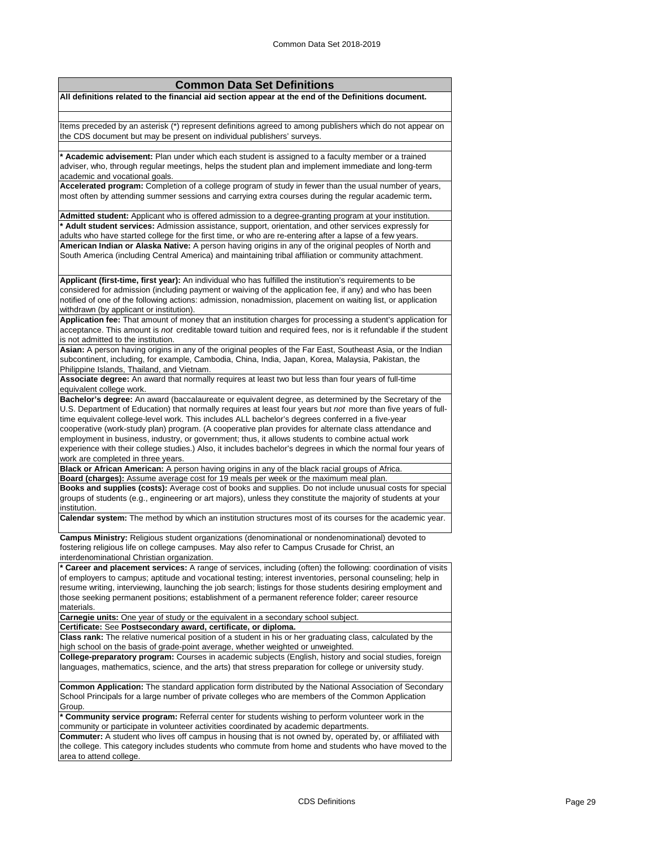| <b>Common Data Set Definitions</b>                                                                                                                                                                                  |
|---------------------------------------------------------------------------------------------------------------------------------------------------------------------------------------------------------------------|
| All definitions related to the financial aid section appear at the end of the Definitions document.                                                                                                                 |
|                                                                                                                                                                                                                     |
|                                                                                                                                                                                                                     |
| Items preceded by an asterisk (*) represent definitions agreed to among publishers which do not appear on                                                                                                           |
| the CDS document but may be present on individual publishers' surveys.                                                                                                                                              |
| * Academic advisement: Plan under which each student is assigned to a faculty member or a trained                                                                                                                   |
| adviser, who, through regular meetings, helps the student plan and implement immediate and long-term                                                                                                                |
| academic and vocational goals.                                                                                                                                                                                      |
| Accelerated program: Completion of a college program of study in fewer than the usual number of years,                                                                                                              |
| most often by attending summer sessions and carrying extra courses during the regular academic term.                                                                                                                |
| Admitted student: Applicant who is offered admission to a degree-granting program at your institution.                                                                                                              |
| * Adult student services: Admission assistance, support, orientation, and other services expressly for                                                                                                              |
| adults who have started college for the first time, or who are re-entering after a lapse of a few years.                                                                                                            |
| American Indian or Alaska Native: A person having origins in any of the original peoples of North and                                                                                                               |
| South America (including Central America) and maintaining tribal affiliation or community attachment.                                                                                                               |
|                                                                                                                                                                                                                     |
| Applicant (first-time, first year): An individual who has fulfilled the institution's requirements to be                                                                                                            |
| considered for admission (including payment or waiving of the application fee, if any) and who has been                                                                                                             |
| notified of one of the following actions: admission, nonadmission, placement on waiting list, or application                                                                                                        |
| withdrawn (by applicant or institution).                                                                                                                                                                            |
| Application fee: That amount of money that an institution charges for processing a student's application for                                                                                                        |
| acceptance. This amount is not creditable toward tuition and required fees, nor is it refundable if the student                                                                                                     |
| is not admitted to the institution.                                                                                                                                                                                 |
| Asian: A person having origins in any of the original peoples of the Far East, Southeast Asia, or the Indian                                                                                                        |
| subcontinent, including, for example, Cambodia, China, India, Japan, Korea, Malaysia, Pakistan, the                                                                                                                 |
| Philippine Islands, Thailand, and Vietnam.                                                                                                                                                                          |
| Associate degree: An award that normally requires at least two but less than four years of full-time                                                                                                                |
| equivalent college work.                                                                                                                                                                                            |
| Bachelor's degree: An award (baccalaureate or equivalent degree, as determined by the Secretary of the                                                                                                              |
| U.S. Department of Education) that normally requires at least four years but not more than five years of full-<br>time equivalent college-level work. This includes ALL bachelor's degrees conferred in a five-year |
| cooperative (work-study plan) program. (A cooperative plan provides for alternate class attendance and                                                                                                              |
| employment in business, industry, or government; thus, it allows students to combine actual work                                                                                                                    |
| experience with their college studies.) Also, it includes bachelor's degrees in which the normal four years of                                                                                                      |
| work are completed in three years.                                                                                                                                                                                  |
| Black or African American: A person having origins in any of the black racial groups of Africa.                                                                                                                     |
| Board (charges): Assume average cost for 19 meals per week or the maximum meal plan.                                                                                                                                |
| Books and supplies (costs): Average cost of books and supplies. Do not include unusual costs for special                                                                                                            |
| groups of students (e.g., engineering or art majors), unless they constitute the majority of students at your                                                                                                       |
| institution.<br>Calendar system: The method by which an institution structures most of its courses for the academic year.                                                                                           |
|                                                                                                                                                                                                                     |
| Campus Ministry: Religious student organizations (denominational or nondenominational) devoted to                                                                                                                   |
| fostering religious life on college campuses. May also refer to Campus Crusade for Christ, an                                                                                                                       |
| interdenominational Christian organization.                                                                                                                                                                         |
| Career and placement services: A range of services, including (often) the following: coordination of visits                                                                                                         |
| of employers to campus; aptitude and vocational testing; interest inventories, personal counseling; help in                                                                                                         |
| resume writing, interviewing, launching the job search; listings for those students desiring employment and<br>those seeking permanent positions; establishment of a permanent reference folder; career resource    |
| materials.                                                                                                                                                                                                          |
| Carnegie units: One year of study or the equivalent in a secondary school subject.                                                                                                                                  |
| Certificate: See Postsecondary award, certificate, or diploma.                                                                                                                                                      |
| Class rank: The relative numerical position of a student in his or her graduating class, calculated by the                                                                                                          |
| high school on the basis of grade-point average, whether weighted or unweighted.                                                                                                                                    |
| College-preparatory program: Courses in academic subjects (English, history and social studies, foreign                                                                                                             |
| languages, mathematics, science, and the arts) that stress preparation for college or university study.                                                                                                             |
| Common Application: The standard application form distributed by the National Association of Secondary                                                                                                              |
| School Principals for a large number of private colleges who are members of the Common Application                                                                                                                  |
| Group.                                                                                                                                                                                                              |
| * Community service program: Referral center for students wishing to perform volunteer work in the                                                                                                                  |
| community or participate in volunteer activities coordinated by academic departments.                                                                                                                               |
| <b>Commuter:</b> A student who lives off campus in housing that is not owned by, operated by, or affiliated with                                                                                                    |
| the college. This category includes students who commute from home and students who have moved to the                                                                                                               |
| area to attend college.                                                                                                                                                                                             |
|                                                                                                                                                                                                                     |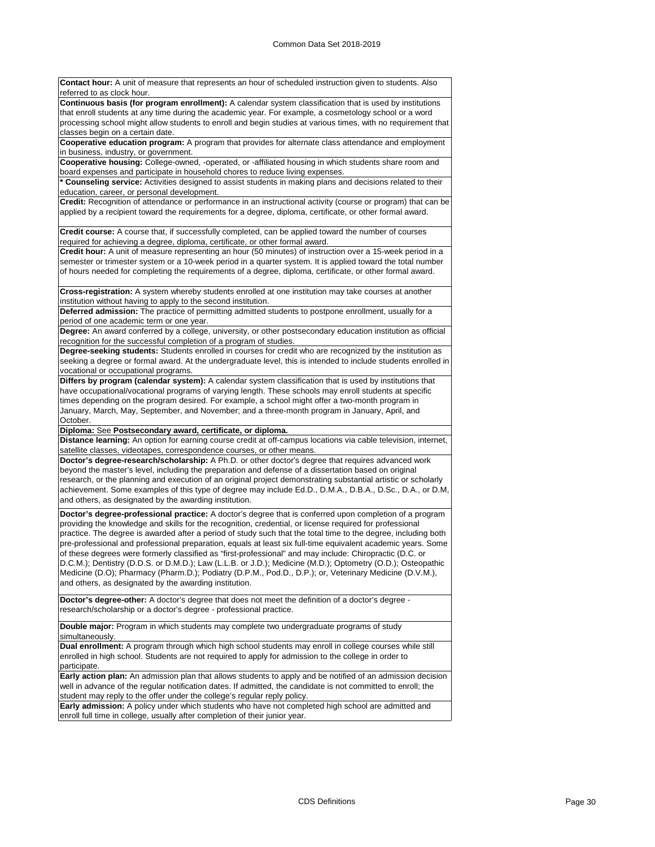**Contact hour:** A unit of measure that represents an hour of scheduled instruction given to students. Also referred to as clock hour. **Continuous basis (for program enrollment):** A calendar system classification that is used by institutions that enroll students at any time during the academic year. For example, a cosmetology school or a word processing school might allow students to enroll and begin studies at various times, with no requirement that classes begin on a certain date. **Cooperative education program:** A program that provides for alternate class attendance and employment in business, industry, or government **Cooperative housing:** College-owned, -operated, or -affiliated housing in which students share room and board expenses and participate in household chores to reduce living expenses. **\* Counseling service:** Activities designed to assist students in making plans and decisions related to their education, career, or personal development. **Credit:** Recognition of attendance or performance in an instructional activity (course or program) that can be applied by a recipient toward the requirements for a degree, diploma, certificate, or other formal award. **Credit course:** A course that, if successfully completed, can be applied toward the number of courses required for achieving a degree, diploma, certificate, or other formal award. **Credit hour:** A unit of measure representing an hour (50 minutes) of instruction over a 15-week period in a semester or trimester system or a 10-week period in a quarter system. It is applied toward the total number of hours needed for completing the requirements of a degree, diploma, certificate, or other formal award. **Cross-registration:** A system whereby students enrolled at one institution may take courses at another

institution without having to apply to the second institution. **Deferred admission:** The practice of permitting admitted students to postpone enrollment, usually for a

period of one academic term or one year.

**Degree:** An award conferred by a college, university, or other postsecondary education institution as official recognition for the successful completion of a program of studies.

**Degree-seeking students:** Students enrolled in courses for credit who are recognized by the institution as seeking a degree or formal award. At the undergraduate level, this is intended to include students enrolled in vocational or occupational programs.

**Differs by program (calendar system):** A calendar system classification that is used by institutions that have occupational/vocational programs of varying length. These schools may enroll students at specific times depending on the program desired. For example, a school might offer a two-month program in January, March, May, September, and November; and a three-month program in January, April, and October.

**Diploma:** See **Postsecondary award, certificate, or diploma.**

**Distance learning:** An option for earning course credit at off-campus locations via cable television, internet, satellite classes, videotapes, correspondence courses, or other means

**Doctor's degree-research/scholarship:** A Ph.D. or other doctor's degree that requires advanced work beyond the master's level, including the preparation and defense of a dissertation based on original research, or the planning and execution of an original project demonstrating substantial artistic or scholarly achievement. Some examples of this type of degree may include Ed.D., D.M.A., D.B.A., D.Sc., D.A., or D.M, and others, as designated by the awarding institution.

**Doctor's degree-professional practice:** A doctor's degree that is conferred upon completion of a program providing the knowledge and skills for the recognition, credential, or license required for professional practice. The degree is awarded after a period of study such that the total time to the degree, including both pre-professional and professional preparation, equals at least six full-time equivalent academic years. Some of these degrees were formerly classified as "first-professional" and may include: Chiropractic (D.C. or D.C.M.); Dentistry (D.D.S. or D.M.D.); Law (L.L.B. or J.D.); Medicine (M.D.); Optometry (O.D.); Osteopathic Medicine (D.O); Pharmacy (Pharm.D.); Podiatry (D.P.M., Pod.D., D.P.); or, Veterinary Medicine (D.V.M.), and others, as designated by the awarding institution.

**Doctor's degree-other:** A doctor's degree that does not meet the definition of a doctor's degree research/scholarship or a doctor's degree - professional practice.

**Double major:** Program in which students may complete two undergraduate programs of study simultaneously.

**Dual enrollment:** A program through which high school students may enroll in college courses while still enrolled in high school. Students are not required to apply for admission to the college in order to participate.

**Early action plan:** An admission plan that allows students to apply and be notified of an admission decision well in advance of the regular notification dates. If admitted, the candidate is not committed to enroll; the student may reply to the offer under the college's regular reply policy.

**Early admission:** A policy under which students who have not completed high school are admitted and enroll full time in college, usually after completion of their junior year.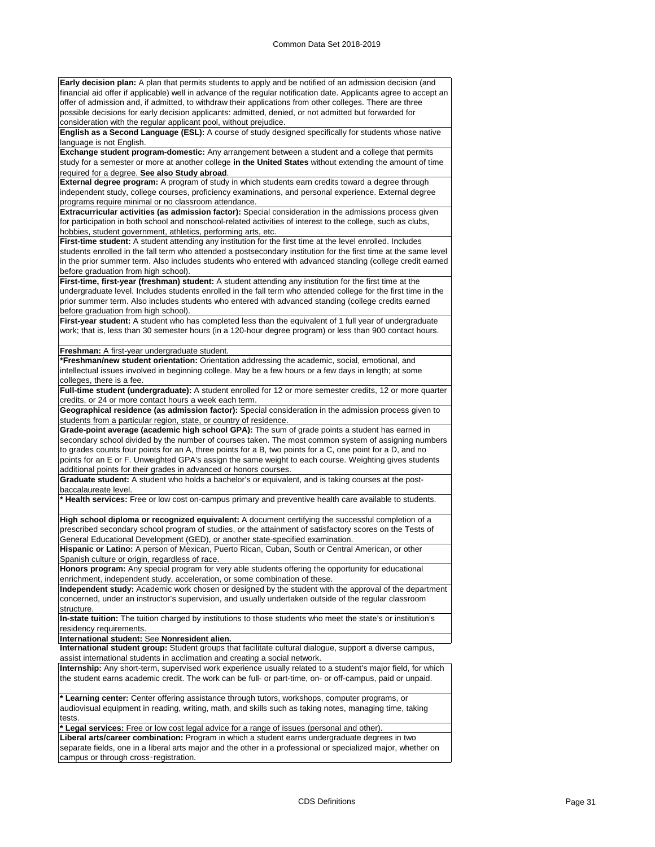**Early decision plan:** A plan that permits students to apply and be notified of an admission decision (and financial aid offer if applicable) well in advance of the regular notification date. Applicants agree to accept an offer of admission and, if admitted, to withdraw their applications from other colleges. There are three possible decisions for early decision applicants: admitted, denied, or not admitted but forwarded for consideration with the regular applicant pool, without prejudice.

**English as a Second Language (ESL):** A course of study designed specifically for students whose native language is not English.

**Exchange student program-domestic:** Any arrangement between a student and a college that permits study for a semester or more at another college **in the United States** without extending the amount of time required for a degree. **See also Study abroad**.

**External degree program:** A program of study in which students earn credits toward a degree through independent study, college courses, proficiency examinations, and personal experience. External degree programs require minimal or no classroom attendance.

**Extracurricular activities (as admission factor):** Special consideration in the admissions process given for participation in both school and nonschool-related activities of interest to the college, such as clubs, hobbies, student government, athletics, performing arts, etc.

First-time student: A student attending any institution for the first time at the level enrolled. Includes students enrolled in the fall term who attended a postsecondary institution for the first time at the same level in the prior summer term. Also includes students who entered with advanced standing (college credit earned before graduation from high school).

**First-time, first-year (freshman) student:** A student attending any institution for the first time at the undergraduate level. Includes students enrolled in the fall term who attended college for the first time in the prior summer term. Also includes students who entered with advanced standing (college credits earned before graduation from high school).

First-year student: A student who has completed less than the equivalent of 1 full year of undergraduate work; that is, less than 30 semester hours (in a 120-hour degree program) or less than 900 contact hours.

**Freshman:** A first-year undergraduate student.

**\*Freshman/new student orientation:** Orientation addressing the academic, social, emotional, and intellectual issues involved in beginning college. May be a few hours or a few days in length; at some colleges, there is a fee.

**Full-time student (undergraduate):** A student enrolled for 12 or more semester credits, 12 or more quarter credits, or 24 or more contact hours a week each term.

**Geographical residence (as admission factor):** Special consideration in the admission process given to students from a particular region, state, or country of residence.

**Grade-point average (academic high school GPA):** The sum of grade points a student has earned in secondary school divided by the number of courses taken. The most common system of assigning numbers to grades counts four points for an A, three points for a B, two points for a C, one point for a D, and no points for an E or F. Unweighted GPA's assign the same weight to each course. Weighting gives students additional points for their grades in advanced or honors courses.

**Graduate student:** A student who holds a bachelor's or equivalent, and is taking courses at the postbaccalaureate level.

**\* Health services:** Free or low cost on-campus primary and preventive health care available to students.

**High school diploma or recognized equivalent:** A document certifying the successful completion of a prescribed secondary school program of studies, or the attainment of satisfactory scores on the Tests of General Educational Development (GED), or another state-specified examination.

**Hispanic or Latino:** A person of Mexican, Puerto Rican, Cuban, South or Central American, or other Spanish culture or origin, regardless of race.

**Honors program:** Any special program for very able students offering the opportunity for educational enrichment, independent study, acceleration, or some combination of these.

**Independent study:** Academic work chosen or designed by the student with the approval of the department concerned, under an instructor's supervision, and usually undertaken outside of the regular classroom structure.

**In-state tuition:** The tuition charged by institutions to those students who meet the state's or institution's residency requirements.

**International student:** See **Nonresident alien.**

**International student group:** Student groups that facilitate cultural dialogue, support a diverse campus, assist international students in acclimation and creating a social network.

**Internship:** Any short-term, supervised work experience usually related to a student's major field, for which the student earns academic credit. The work can be full- or part-time, on- or off-campus, paid or unpaid.

**\* Learning center:** Center offering assistance through tutors, workshops, computer programs, or audiovisual equipment in reading, writing, math, and skills such as taking notes, managing time, taking tests.

**\* Legal services:** Free or low cost legal advice for a range of issues (personal and other).

**Liberal arts/career combination:** Program in which a student earns undergraduate degrees in two separate fields, one in a liberal arts major and the other in a professional or specialized major, whether on campus or through cross‑registration.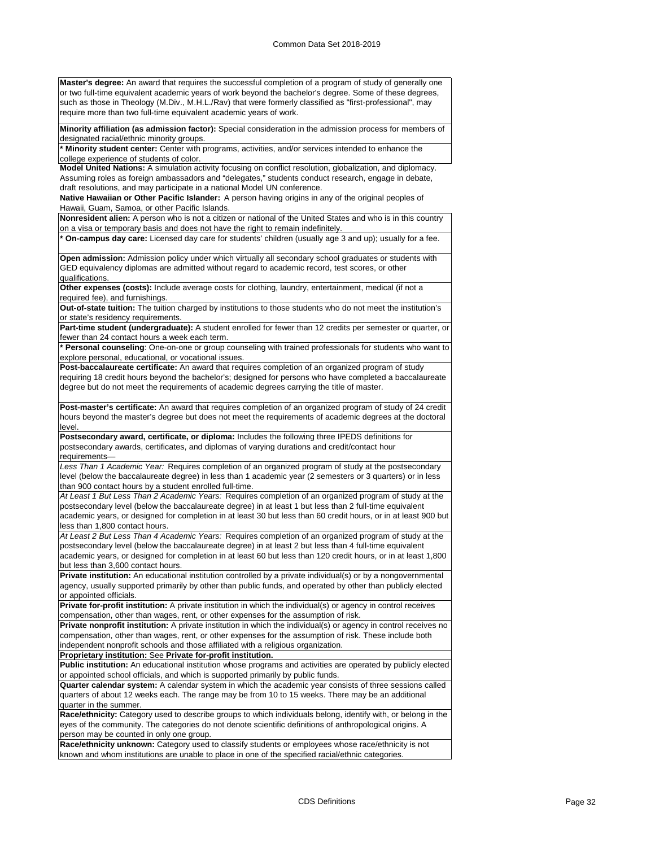**Master's degree:** An award that requires the successful completion of a program of study of generally one or two full-time equivalent academic years of work beyond the bachelor's degree. Some of these degrees, such as those in Theology (M.Div., M.H.L./Rav) that were formerly classified as "first-professional", may require more than two full-time equivalent academic years of work.

**Minority affiliation (as admission factor):** Special consideration in the admission process for members of designated racial/ethnic minority groups.

**\* Minority student center:** Center with programs, activities, and/or services intended to enhance the college experience of students of color.

**Model United Nations:** A simulation activity focusing on conflict resolution, globalization, and diplomacy. Assuming roles as foreign ambassadors and "delegates," students conduct research, engage in debate, draft resolutions, and may participate in a national Model UN conference.

**Native Hawaiian or Other Pacific Islander:** A person having origins in any of the original peoples of Hawaii, Guam, Samoa, or other Pacific Islands.

**Nonresident alien:** A person who is not a citizen or national of the United States and who is in this country on a visa or temporary basis and does not have the right to remain indefinitely.

**\* On-campus day care:** Licensed day care for students' children (usually age 3 and up); usually for a fee.

**Open admission:** Admission policy under which virtually all secondary school graduates or students with GED equivalency diplomas are admitted without regard to academic record, test scores, or other qualifications.

**Other expenses (costs):** Include average costs for clothing, laundry, entertainment, medical (if not a required fee), and furnishings.

**Out-of-state tuition:** The tuition charged by institutions to those students who do not meet the institution's or state's residency requirements.

**Part-time student (undergraduate):** A student enrolled for fewer than 12 credits per semester or quarter, or fewer than 24 contact hours a week each term.

**\* Personal counseling**: One-on-one or group counseling with trained professionals for students who want to explore personal, educational, or vocational issues.

**Post-baccalaureate certificate:** An award that requires completion of an organized program of study requiring 18 credit hours beyond the bachelor's; designed for persons who have completed a baccalaureate degree but do not meet the requirements of academic degrees carrying the title of master.

**Post-master's certificate:** An award that requires completion of an organized program of study of 24 credit hours beyond the master's degree but does not meet the requirements of academic degrees at the doctoral level.

**Postsecondary award, certificate, or diploma:** Includes the following three IPEDS definitions for postsecondary awards, certificates, and diplomas of varying durations and credit/contact hour requirements—

*Less Than 1 Academic Year:* Requires completion of an organized program of study at the postsecondary level (below the baccalaureate degree) in less than 1 academic year (2 semesters or 3 quarters) or in less than 900 contact hours by a student enrolled full-time.

*At Least 1 But Less Than 2 Academic Years:* Requires completion of an organized program of study at the postsecondary level (below the baccalaureate degree) in at least 1 but less than 2 full-time equivalent academic years, or designed for completion in at least 30 but less than 60 credit hours, or in at least 900 but less than 1,800 contact hours.

*At Least 2 But Less Than 4 Academic Years:* Requires completion of an organized program of study at the postsecondary level (below the baccalaureate degree) in at least 2 but less than 4 full-time equivalent academic years, or designed for completion in at least 60 but less than 120 credit hours, or in at least 1,800 but less than 3,600 contact hours.

**Private institution:** An educational institution controlled by a private individual(s) or by a nongovernmental agency, usually supported primarily by other than public funds, and operated by other than publicly elected or appointed officials.

**Private for-profit institution:** A private institution in which the individual(s) or agency in control receives compensation, other than wages, rent, or other expenses for the assumption of risk.

**Private nonprofit institution:** A private institution in which the individual(s) or agency in control receives no compensation, other than wages, rent, or other expenses for the assumption of risk. These include both independent nonprofit schools and those affiliated with a religious organization.

**Proprietary institution:** See **Private for-profit institution.**

**Public institution:** An educational institution whose programs and activities are operated by publicly elected or appointed school officials, and which is supported primarily by public funds.

**Quarter calendar system:** A calendar system in which the academic year consists of three sessions called quarters of about 12 weeks each. The range may be from 10 to 15 weeks. There may be an additional quarter in the summer.

**Race/ethnicity:** Category used to describe groups to which individuals belong, identify with, or belong in the eyes of the community. The categories do not denote scientific definitions of anthropological origins. A person may be counted in only one group.

**Race/ethnicity unknown:** Category used to classify students or employees whose race/ethnicity is not known and whom institutions are unable to place in one of the specified racial/ethnic categories.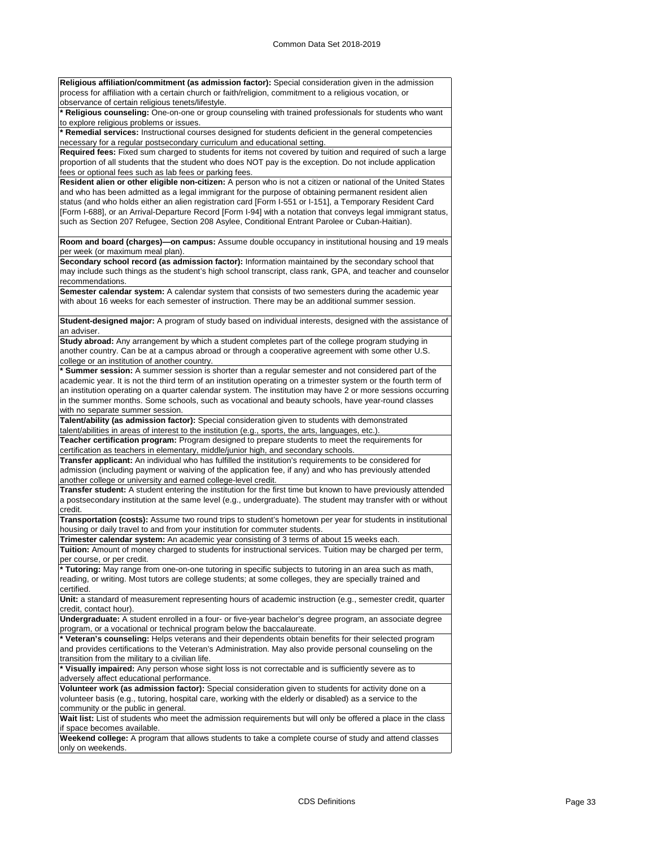**Religious affiliation/commitment (as admission factor):** Special consideration given in the admission process for affiliation with a certain church or faith/religion, commitment to a religious vocation, or observance of certain religious tenets/lifestyle.

**\* Religious counseling:** One-on-one or group counseling with trained professionals for students who want to explore religious problems or issues.

**\* Remedial services:** Instructional courses designed for students deficient in the general competencies necessary for a regular postsecondary curriculum and educational setting.

**Required fees:** Fixed sum charged to students for items not covered by tuition and required of such a large proportion of all students that the student who does NOT pay is the exception. Do not include application fees or optional fees such as lab fees or parking fees.

**Resident alien or other eligible non-citizen:** A person who is not a citizen or national of the United States and who has been admitted as a legal immigrant for the purpose of obtaining permanent resident alien status (and who holds either an alien registration card [Form I-551 or I-151], a Temporary Resident Card [Form I-688], or an Arrival-Departure Record [Form I-94] with a notation that conveys legal immigrant status, such as Section 207 Refugee, Section 208 Asylee, Conditional Entrant Parolee or Cuban-Haitian).

**Room and board (charges)—on campus:** Assume double occupancy in institutional housing and 19 meals per week (or maximum meal plan).

**Secondary school record (as admission factor):** Information maintained by the secondary school that may include such things as the student's high school transcript, class rank, GPA, and teacher and counselor recommendations.

**Semester calendar system:** A calendar system that consists of two semesters during the academic year with about 16 weeks for each semester of instruction. There may be an additional summer session.

**Student-designed major:** A program of study based on individual interests, designed with the assistance of an adviser.

**Study abroad:** Any arrangement by which a student completes part of the college program studying in another country. Can be at a campus abroad or through a cooperative agreement with some other U.S. college or an institution of another country.

**\* Summer session:** A summer session is shorter than a regular semester and not considered part of the academic year. It is not the third term of an institution operating on a trimester system or the fourth term of an institution operating on a quarter calendar system. The institution may have 2 or more sessions occurring in the summer months. Some schools, such as vocational and beauty schools, have year-round classes with no separate summer session.

**Talent/ability (as admission factor):** Special consideration given to students with demonstrated talent/abilities in areas of interest to the institution (e.g., sports, the arts, languages, etc.).

**Teacher certification program:** Program designed to prepare students to meet the requirements for certification as teachers in elementary, middle/junior high, and secondary schools.

**Transfer applicant:** An individual who has fulfilled the institution's requirements to be considered for admission (including payment or waiving of the application fee, if any) and who has previously attended another college or university and earned college-level credit.

**Transfer student:** A student entering the institution for the first time but known to have previously attended a postsecondary institution at the same level (e.g., undergraduate). The student may transfer with or without credit.

**Transportation (costs):** Assume two round trips to student's hometown per year for students in institutional housing or daily travel to and from your institution for commuter students.

**Trimester calendar system:** An academic year consisting of 3 terms of about 15 weeks each.

**Tuition:** Amount of money charged to students for instructional services. Tuition may be charged per term, per course, or per credit.

**\* Tutoring:** May range from one-on-one tutoring in specific subjects to tutoring in an area such as math, reading, or writing. Most tutors are college students; at some colleges, they are specially trained and certified.

**Unit:** a standard of measurement representing hours of academic instruction (e.g., semester credit, quarter credit, contact hour).

**Undergraduate:** A student enrolled in a four- or five-year bachelor's degree program, an associate degree program, or a vocational or technical program below the baccalaureate.

**Veteran's counseling:** Helps veterans and their dependents obtain benefits for their selected program and provides certifications to the Veteran's Administration. May also provide personal counseling on the transition from the military to a civilian life.

**\* Visually impaired:** Any person whose sight loss is not correctable and is sufficiently severe as to adversely affect educational performance.

**Volunteer work (as admission factor):** Special consideration given to students for activity done on a volunteer basis (e.g., tutoring, hospital care, working with the elderly or disabled) as a service to the community or the public in general.

Wait list: List of students who meet the admission requirements but will only be offered a place in the class if space becomes available.

**Weekend college:** A program that allows students to take a complete course of study and attend classes only on weekends